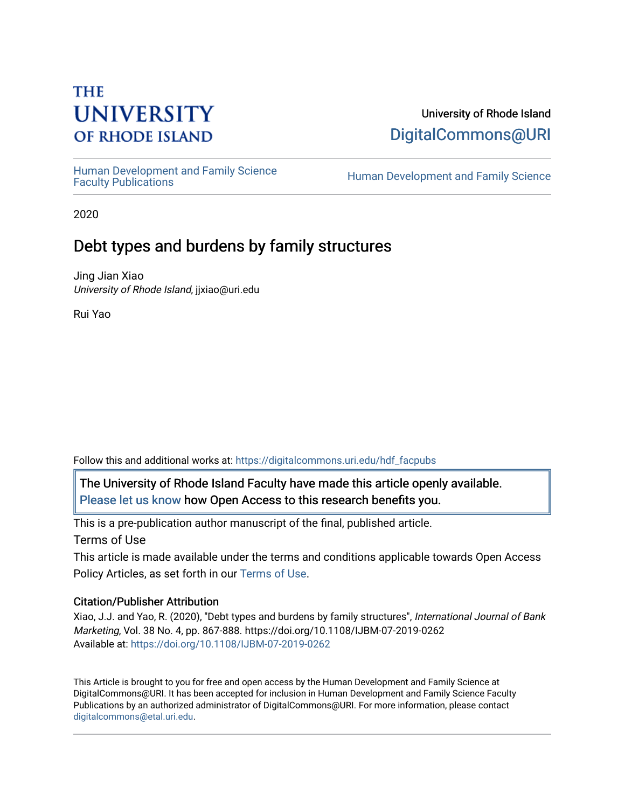# **THE UNIVERSITY OF RHODE ISLAND**

# University of Rhode Island [DigitalCommons@URI](https://digitalcommons.uri.edu/)

Human Development and Family Science<br>Faculty Publications

Human Development and Family Science

2020

# Debt types and burdens by family structures

Jing Jian Xiao University of Rhode Island, jjxiao@uri.edu

Rui Yao

Follow this and additional works at: [https://digitalcommons.uri.edu/hdf\\_facpubs](https://digitalcommons.uri.edu/hdf_facpubs?utm_source=digitalcommons.uri.edu%2Fhdf_facpubs%2F68&utm_medium=PDF&utm_campaign=PDFCoverPages) 

The University of Rhode Island Faculty have made this article openly available. [Please let us know](http://web.uri.edu/library-digital-initiatives/open-access-online-form/) how Open Access to this research benefits you.

This is a pre-publication author manuscript of the final, published article. Terms of Use

This article is made available under the terms and conditions applicable towards Open Access Policy Articles, as set forth in our [Terms of Use](https://digitalcommons.uri.edu/hdf_facpubs/oa_policy_terms.html).

# Citation/Publisher Attribution

Xiao, J.J. and Yao, R. (2020), "Debt types and burdens by family structures", International Journal of Bank Marketing, Vol. 38 No. 4, pp. 867-888. https://doi.org/10.1108/IJBM-07-2019-0262 Available at:<https://doi.org/10.1108/IJBM-07-2019-0262>

This Article is brought to you for free and open access by the Human Development and Family Science at DigitalCommons@URI. It has been accepted for inclusion in Human Development and Family Science Faculty Publications by an authorized administrator of DigitalCommons@URI. For more information, please contact [digitalcommons@etal.uri.edu](mailto:digitalcommons@etal.uri.edu).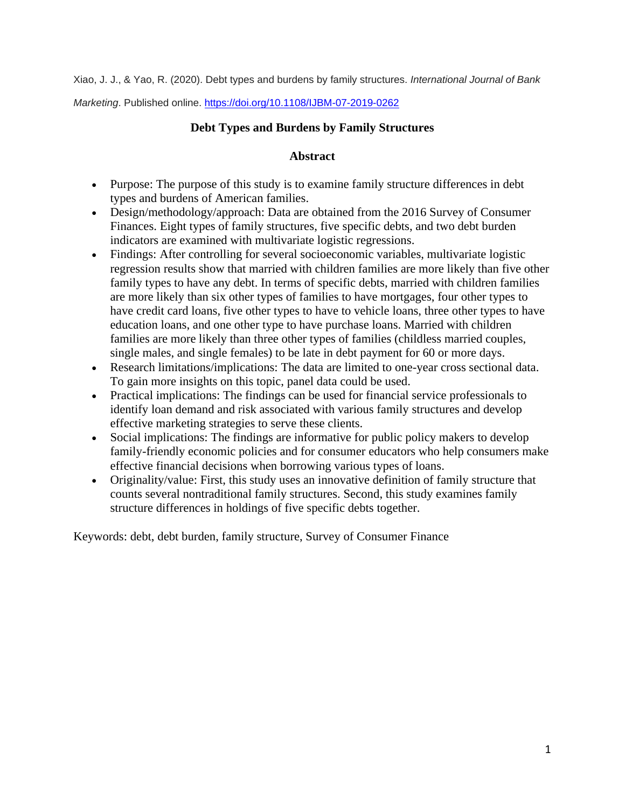Xiao, J. J., & Yao, R. (2020). Debt types and burdens by family structures. *International Journal of Bank* 

*Marketing*. Published online.<https://doi.org/10.1108/IJBM-07-2019-0262>

# **Debt Types and Burdens by Family Structures**

# **Abstract**

- Purpose: The purpose of this study is to examine family structure differences in debt types and burdens of American families.
- Design/methodology/approach: Data are obtained from the 2016 Survey of Consumer Finances. Eight types of family structures, five specific debts, and two debt burden indicators are examined with multivariate logistic regressions.
- Findings: After controlling for several socioeconomic variables, multivariate logistic regression results show that married with children families are more likely than five other family types to have any debt. In terms of specific debts, married with children families are more likely than six other types of families to have mortgages, four other types to have credit card loans, five other types to have to vehicle loans, three other types to have education loans, and one other type to have purchase loans. Married with children families are more likely than three other types of families (childless married couples, single males, and single females) to be late in debt payment for 60 or more days.
- Research limitations/implications: The data are limited to one-year cross sectional data. To gain more insights on this topic, panel data could be used.
- Practical implications: The findings can be used for financial service professionals to identify loan demand and risk associated with various family structures and develop effective marketing strategies to serve these clients.
- Social implications: The findings are informative for public policy makers to develop family-friendly economic policies and for consumer educators who help consumers make effective financial decisions when borrowing various types of loans.
- Originality/value: First, this study uses an innovative definition of family structure that counts several nontraditional family structures. Second, this study examines family structure differences in holdings of five specific debts together.

Keywords: debt, debt burden, family structure, Survey of Consumer Finance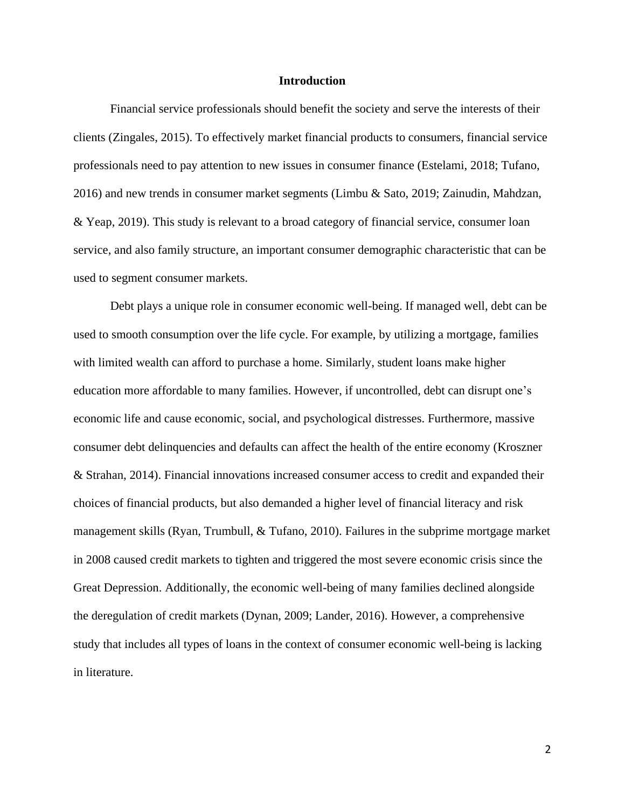## **Introduction**

Financial service professionals should benefit the society and serve the interests of their clients (Zingales, 2015). To effectively market financial products to consumers, financial service professionals need to pay attention to new issues in consumer finance (Estelami, 2018; Tufano, 2016) and new trends in consumer market segments (Limbu & Sato, 2019; Zainudin, Mahdzan, & Yeap, 2019). This study is relevant to a broad category of financial service, consumer loan service, and also family structure, an important consumer demographic characteristic that can be used to segment consumer markets.

Debt plays a unique role in consumer economic well-being. If managed well, debt can be used to smooth consumption over the life cycle. For example, by utilizing a mortgage, families with limited wealth can afford to purchase a home. Similarly, student loans make higher education more affordable to many families. However, if uncontrolled, debt can disrupt one's economic life and cause economic, social, and psychological distresses. Furthermore, massive consumer debt delinquencies and defaults can affect the health of the entire economy (Kroszner & Strahan, 2014). Financial innovations increased consumer access to credit and expanded their choices of financial products, but also demanded a higher level of financial literacy and risk management skills (Ryan, Trumbull, & Tufano, 2010). Failures in the subprime mortgage market in 2008 caused credit markets to tighten and triggered the most severe economic crisis since the Great Depression. Additionally, the economic well-being of many families declined alongside the deregulation of credit markets (Dynan, 2009; Lander, 2016). However, a comprehensive study that includes all types of loans in the context of consumer economic well-being is lacking in literature.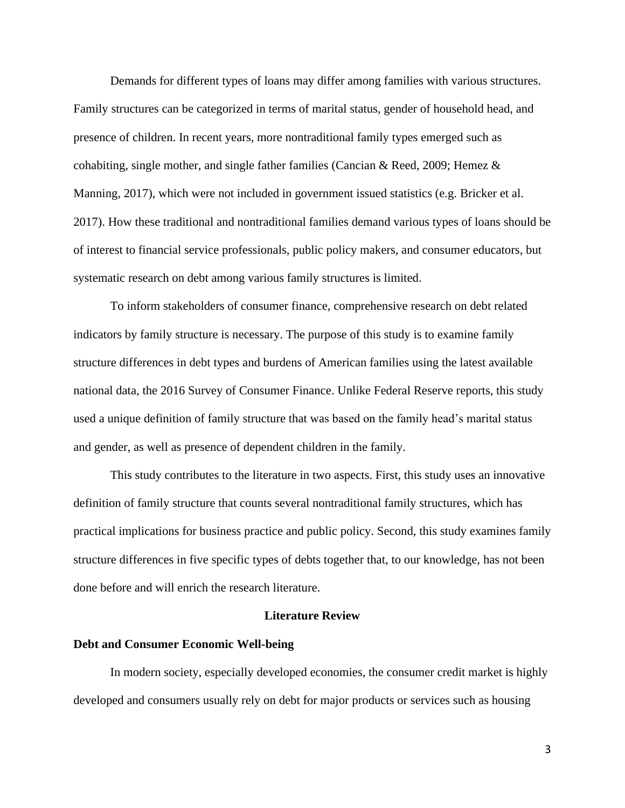Demands for different types of loans may differ among families with various structures. Family structures can be categorized in terms of marital status, gender of household head, and presence of children. In recent years, more nontraditional family types emerged such as cohabiting, single mother, and single father families (Cancian & Reed, 2009; Hemez & Manning, 2017), which were not included in government issued statistics (e.g. Bricker et al. 2017). How these traditional and nontraditional families demand various types of loans should be of interest to financial service professionals, public policy makers, and consumer educators, but systematic research on debt among various family structures is limited.

To inform stakeholders of consumer finance, comprehensive research on debt related indicators by family structure is necessary. The purpose of this study is to examine family structure differences in debt types and burdens of American families using the latest available national data, the 2016 Survey of Consumer Finance. Unlike Federal Reserve reports, this study used a unique definition of family structure that was based on the family head's marital status and gender, as well as presence of dependent children in the family.

This study contributes to the literature in two aspects. First, this study uses an innovative definition of family structure that counts several nontraditional family structures, which has practical implications for business practice and public policy. Second, this study examines family structure differences in five specific types of debts together that, to our knowledge, has not been done before and will enrich the research literature.

# **Literature Review**

## **Debt and Consumer Economic Well-being**

In modern society, especially developed economies, the consumer credit market is highly developed and consumers usually rely on debt for major products or services such as housing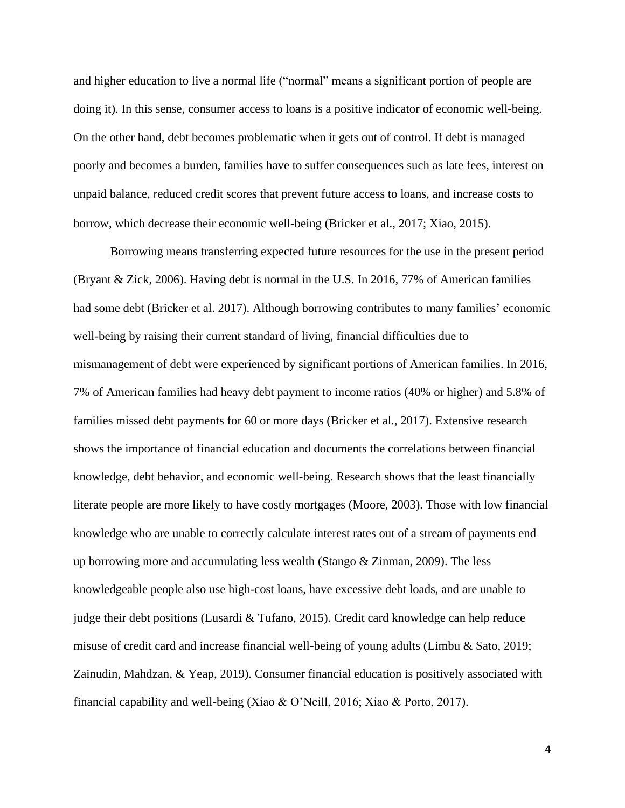and higher education to live a normal life ("normal" means a significant portion of people are doing it). In this sense, consumer access to loans is a positive indicator of economic well-being. On the other hand, debt becomes problematic when it gets out of control. If debt is managed poorly and becomes a burden, families have to suffer consequences such as late fees, interest on unpaid balance, reduced credit scores that prevent future access to loans, and increase costs to borrow, which decrease their economic well-being (Bricker et al., 2017; Xiao, 2015).

Borrowing means transferring expected future resources for the use in the present period (Bryant & Zick, 2006). Having debt is normal in the U.S. In 2016, 77% of American families had some debt (Bricker et al. 2017). Although borrowing contributes to many families' economic well-being by raising their current standard of living, financial difficulties due to mismanagement of debt were experienced by significant portions of American families. In 2016, 7% of American families had heavy debt payment to income ratios (40% or higher) and 5.8% of families missed debt payments for 60 or more days (Bricker et al., 2017). Extensive research shows the importance of financial education and documents the correlations between financial knowledge, debt behavior, and economic well-being. Research shows that the least financially literate people are more likely to have costly mortgages (Moore, 2003). Those with low financial knowledge who are unable to correctly calculate interest rates out of a stream of payments end up borrowing more and accumulating less wealth (Stango & Zinman, 2009). The less knowledgeable people also use high-cost loans, have excessive debt loads, and are unable to judge their debt positions (Lusardi & Tufano, 2015). Credit card knowledge can help reduce misuse of credit card and increase financial well-being of young adults (Limbu & Sato, 2019; Zainudin, Mahdzan, & Yeap, 2019). Consumer financial education is positively associated with financial capability and well-being (Xiao & O'Neill, 2016; Xiao & Porto, 2017).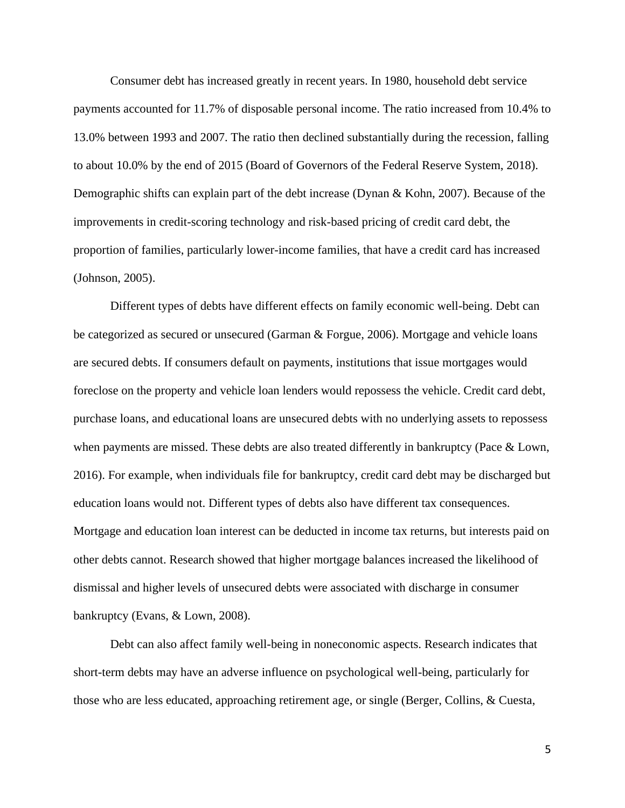Consumer debt has increased greatly in recent years. In 1980, household debt service payments accounted for 11.7% of disposable personal income. The ratio increased from 10.4% to 13.0% between 1993 and 2007. The ratio then declined substantially during the recession, falling to about 10.0% by the end of 2015 (Board of Governors of the Federal Reserve System, 2018). Demographic shifts can explain part of the debt increase (Dynan & Kohn, 2007). Because of the improvements in credit-scoring technology and risk-based pricing of credit card debt, the proportion of families, particularly lower-income families, that have a credit card has increased (Johnson, 2005).

Different types of debts have different effects on family economic well-being. Debt can be categorized as secured or unsecured (Garman & Forgue, 2006). Mortgage and vehicle loans are secured debts. If consumers default on payments, institutions that issue mortgages would foreclose on the property and vehicle loan lenders would repossess the vehicle. Credit card debt, purchase loans, and educational loans are unsecured debts with no underlying assets to repossess when payments are missed. These debts are also treated differently in bankruptcy (Pace & Lown, 2016). For example, when individuals file for bankruptcy, credit card debt may be discharged but education loans would not. Different types of debts also have different tax consequences. Mortgage and education loan interest can be deducted in income tax returns, but interests paid on other debts cannot. Research showed that higher mortgage balances increased the likelihood of dismissal and higher levels of unsecured debts were associated with discharge in consumer bankruptcy (Evans, & Lown, 2008).

Debt can also affect family well-being in noneconomic aspects. Research indicates that short-term debts may have an adverse influence on psychological well-being, particularly for those who are less educated, approaching retirement age, or single (Berger, Collins, & Cuesta,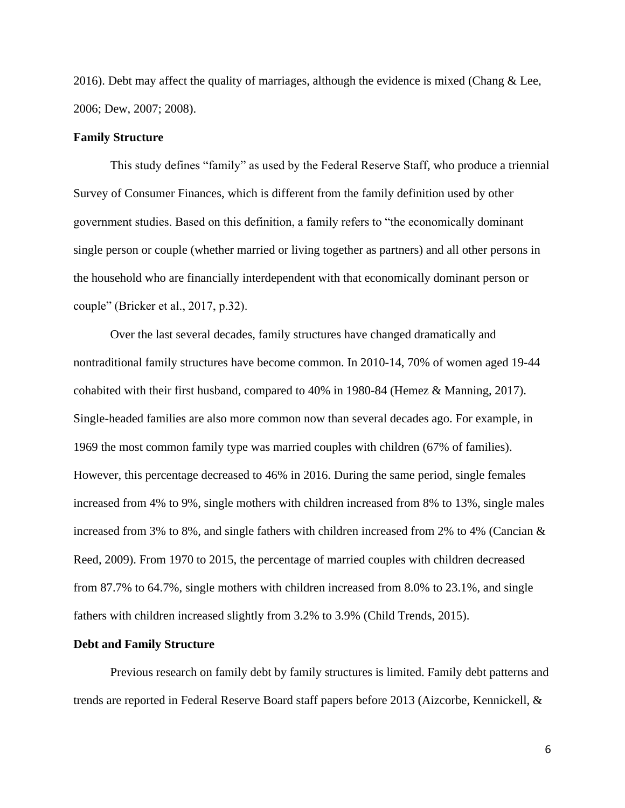2016). Debt may affect the quality of marriages, although the evidence is mixed (Chang  $&$  Lee, 2006; Dew, 2007; 2008).

# **Family Structure**

This study defines "family" as used by the Federal Reserve Staff, who produce a triennial Survey of Consumer Finances, which is different from the family definition used by other government studies. Based on this definition, a family refers to "the economically dominant single person or couple (whether married or living together as partners) and all other persons in the household who are financially interdependent with that economically dominant person or couple" (Bricker et al., 2017, p.32).

Over the last several decades, family structures have changed dramatically and nontraditional family structures have become common. In 2010-14, 70% of women aged 19-44 cohabited with their first husband, compared to 40% in 1980-84 (Hemez & Manning, 2017). Single-headed families are also more common now than several decades ago. For example, in 1969 the most common family type was married couples with children (67% of families). However, this percentage decreased to 46% in 2016. During the same period, single females increased from 4% to 9%, single mothers with children increased from 8% to 13%, single males increased from 3% to 8%, and single fathers with children increased from 2% to 4% (Cancian & Reed, 2009). From 1970 to 2015, the percentage of married couples with children decreased from 87.7% to 64.7%, single mothers with children increased from 8.0% to 23.1%, and single fathers with children increased slightly from 3.2% to 3.9% (Child Trends, 2015).

#### **Debt and Family Structure**

Previous research on family debt by family structures is limited. Family debt patterns and trends are reported in Federal Reserve Board staff papers before 2013 (Aizcorbe, Kennickell, &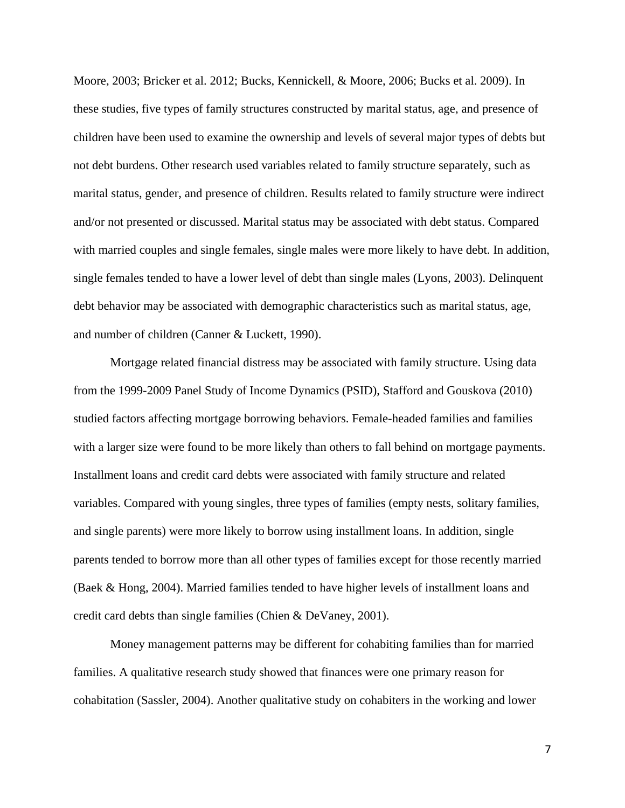Moore, 2003; Bricker et al. 2012; Bucks, Kennickell, & Moore, 2006; Bucks et al. 2009). In these studies, five types of family structures constructed by marital status, age, and presence of children have been used to examine the ownership and levels of several major types of debts but not debt burdens. Other research used variables related to family structure separately, such as marital status, gender, and presence of children. Results related to family structure were indirect and/or not presented or discussed. Marital status may be associated with debt status. Compared with married couples and single females, single males were more likely to have debt. In addition, single females tended to have a lower level of debt than single males (Lyons, 2003). Delinquent debt behavior may be associated with demographic characteristics such as marital status, age, and number of children (Canner & Luckett, 1990).

Mortgage related financial distress may be associated with family structure. Using data from the 1999-2009 Panel Study of Income Dynamics (PSID), Stafford and Gouskova (2010) studied factors affecting mortgage borrowing behaviors. Female-headed families and families with a larger size were found to be more likely than others to fall behind on mortgage payments. Installment loans and credit card debts were associated with family structure and related variables. Compared with young singles, three types of families (empty nests, solitary families, and single parents) were more likely to borrow using installment loans. In addition, single parents tended to borrow more than all other types of families except for those recently married (Baek & Hong, 2004). Married families tended to have higher levels of installment loans and credit card debts than single families (Chien & DeVaney, 2001).

Money management patterns may be different for cohabiting families than for married families. A qualitative research study showed that finances were one primary reason for cohabitation (Sassler, 2004). Another qualitative study on cohabiters in the working and lower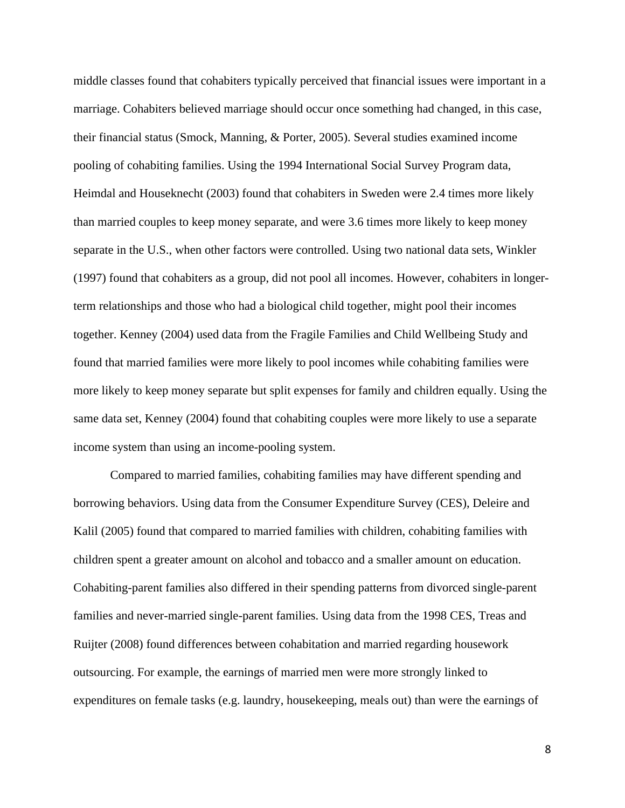middle classes found that cohabiters typically perceived that financial issues were important in a marriage. Cohabiters believed marriage should occur once something had changed, in this case, their financial status (Smock, Manning, & Porter, 2005). Several studies examined income pooling of cohabiting families. Using the 1994 International Social Survey Program data, Heimdal and Houseknecht (2003) found that cohabiters in Sweden were 2.4 times more likely than married couples to keep money separate, and were 3.6 times more likely to keep money separate in the U.S., when other factors were controlled. Using two national data sets, Winkler (1997) found that cohabiters as a group, did not pool all incomes. However, cohabiters in longerterm relationships and those who had a biological child together, might pool their incomes together. Kenney (2004) used data from the Fragile Families and Child Wellbeing Study and found that married families were more likely to pool incomes while cohabiting families were more likely to keep money separate but split expenses for family and children equally. Using the same data set, Kenney (2004) found that cohabiting couples were more likely to use a separate income system than using an income-pooling system.

Compared to married families, cohabiting families may have different spending and borrowing behaviors. Using data from the Consumer Expenditure Survey (CES), Deleire and Kalil (2005) found that compared to married families with children, cohabiting families with children spent a greater amount on alcohol and tobacco and a smaller amount on education. Cohabiting-parent families also differed in their spending patterns from divorced single-parent families and never-married single-parent families. Using data from the 1998 CES, Treas and Ruijter (2008) found differences between cohabitation and married regarding housework outsourcing. For example, the earnings of married men were more strongly linked to expenditures on female tasks (e.g. laundry, housekeeping, meals out) than were the earnings of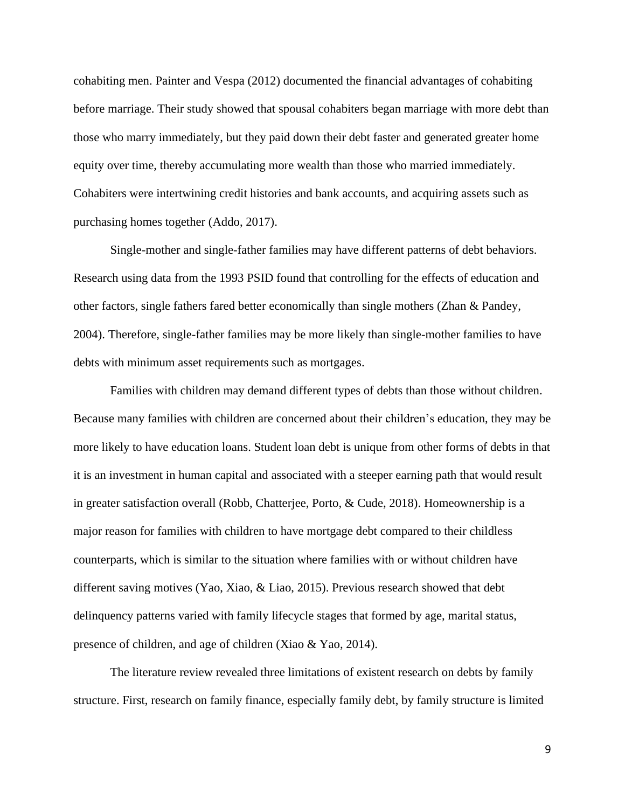cohabiting men. Painter and Vespa (2012) documented the financial advantages of cohabiting before marriage. Their study showed that spousal cohabiters began marriage with more debt than those who marry immediately, but they paid down their debt faster and generated greater home equity over time, thereby accumulating more wealth than those who married immediately. Cohabiters were intertwining credit histories and bank accounts, and acquiring assets such as purchasing homes together (Addo, 2017).

Single-mother and single-father families may have different patterns of debt behaviors. Research using data from the 1993 PSID found that controlling for the effects of education and other factors, single fathers fared better economically than single mothers (Zhan & Pandey, 2004). Therefore, single-father families may be more likely than single-mother families to have debts with minimum asset requirements such as mortgages.

Families with children may demand different types of debts than those without children. Because many families with children are concerned about their children's education, they may be more likely to have education loans. Student loan debt is unique from other forms of debts in that it is an investment in human capital and associated with a steeper earning path that would result in greater satisfaction overall (Robb, Chatterjee, Porto, & Cude, 2018). Homeownership is a major reason for families with children to have mortgage debt compared to their childless counterparts, which is similar to the situation where families with or without children have different saving motives (Yao, Xiao, & Liao, 2015). Previous research showed that debt delinquency patterns varied with family lifecycle stages that formed by age, marital status, presence of children, and age of children (Xiao & Yao, 2014).

The literature review revealed three limitations of existent research on debts by family structure. First, research on family finance, especially family debt, by family structure is limited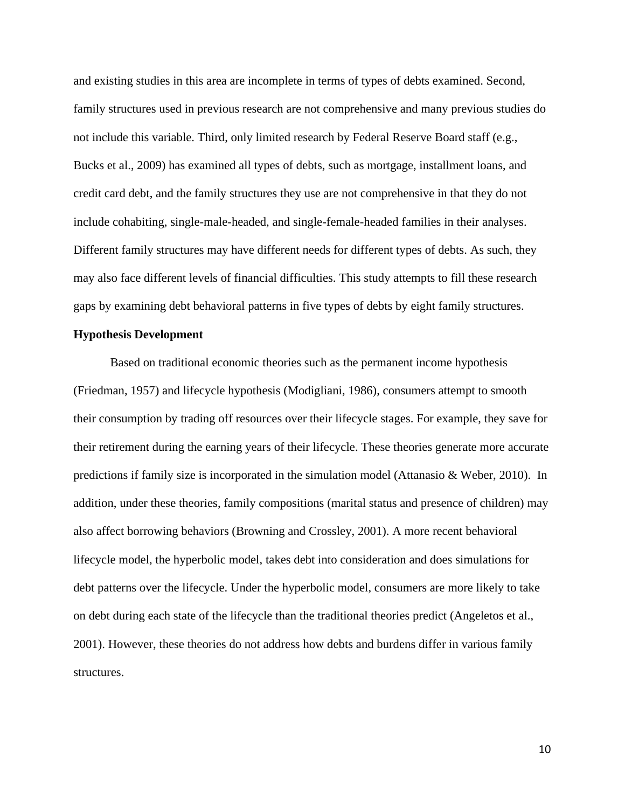and existing studies in this area are incomplete in terms of types of debts examined. Second, family structures used in previous research are not comprehensive and many previous studies do not include this variable. Third, only limited research by Federal Reserve Board staff (e.g., Bucks et al., 2009) has examined all types of debts, such as mortgage, installment loans, and credit card debt, and the family structures they use are not comprehensive in that they do not include cohabiting, single-male-headed, and single-female-headed families in their analyses. Different family structures may have different needs for different types of debts. As such, they may also face different levels of financial difficulties. This study attempts to fill these research gaps by examining debt behavioral patterns in five types of debts by eight family structures.

## **Hypothesis Development**

Based on traditional economic theories such as the permanent income hypothesis (Friedman, 1957) and lifecycle hypothesis (Modigliani, 1986), consumers attempt to smooth their consumption by trading off resources over their lifecycle stages. For example, they save for their retirement during the earning years of their lifecycle. These theories generate more accurate predictions if family size is incorporated in the simulation model (Attanasio & Weber, 2010). In addition, under these theories, family compositions (marital status and presence of children) may also affect borrowing behaviors (Browning and Crossley, 2001). A more recent behavioral lifecycle model, the hyperbolic model, takes debt into consideration and does simulations for debt patterns over the lifecycle. Under the hyperbolic model, consumers are more likely to take on debt during each state of the lifecycle than the traditional theories predict (Angeletos et al., 2001). However, these theories do not address how debts and burdens differ in various family structures.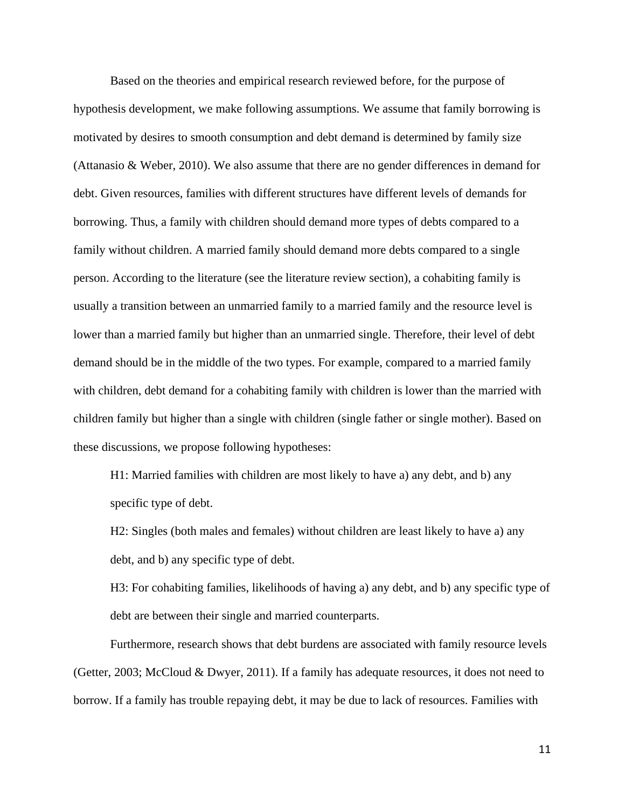Based on the theories and empirical research reviewed before, for the purpose of hypothesis development, we make following assumptions. We assume that family borrowing is motivated by desires to smooth consumption and debt demand is determined by family size (Attanasio & Weber, 2010). We also assume that there are no gender differences in demand for debt. Given resources, families with different structures have different levels of demands for borrowing. Thus, a family with children should demand more types of debts compared to a family without children. A married family should demand more debts compared to a single person. According to the literature (see the literature review section), a cohabiting family is usually a transition between an unmarried family to a married family and the resource level is lower than a married family but higher than an unmarried single. Therefore, their level of debt demand should be in the middle of the two types. For example, compared to a married family with children, debt demand for a cohabiting family with children is lower than the married with children family but higher than a single with children (single father or single mother). Based on these discussions, we propose following hypotheses:

H1: Married families with children are most likely to have a) any debt, and b) any specific type of debt.

H2: Singles (both males and females) without children are least likely to have a) any debt, and b) any specific type of debt.

H3: For cohabiting families, likelihoods of having a) any debt, and b) any specific type of debt are between their single and married counterparts.

Furthermore, research shows that debt burdens are associated with family resource levels (Getter, 2003; McCloud & Dwyer, 2011). If a family has adequate resources, it does not need to borrow. If a family has trouble repaying debt, it may be due to lack of resources. Families with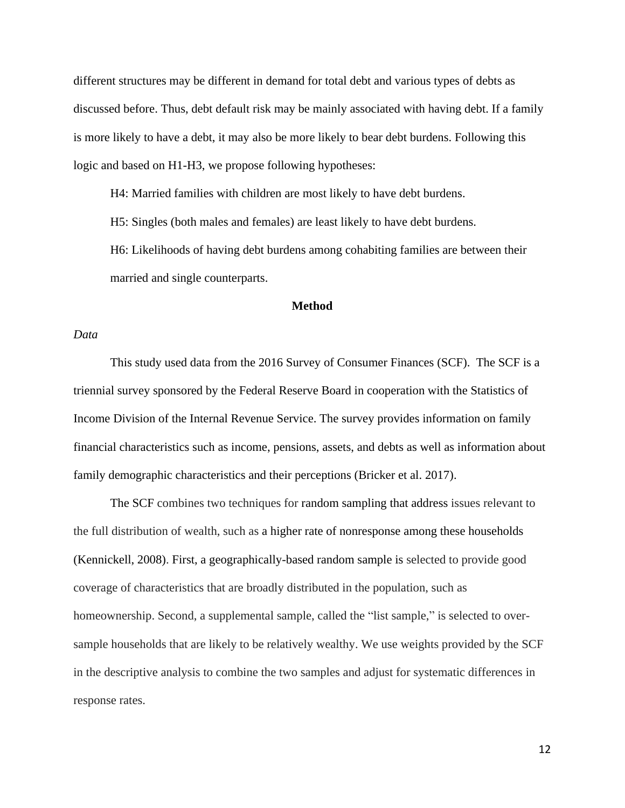different structures may be different in demand for total debt and various types of debts as discussed before. Thus, debt default risk may be mainly associated with having debt. If a family is more likely to have a debt, it may also be more likely to bear debt burdens. Following this logic and based on H1-H3, we propose following hypotheses:

H4: Married families with children are most likely to have debt burdens.

H5: Singles (both males and females) are least likely to have debt burdens.

H6: Likelihoods of having debt burdens among cohabiting families are between their married and single counterparts.

# **Method**

# *Data*

This study used data from the 2016 Survey of Consumer Finances (SCF). The SCF is a triennial survey sponsored by the Federal Reserve Board in cooperation with the Statistics of Income Division of the Internal Revenue Service. The survey provides information on family financial characteristics such as income, pensions, assets, and debts as well as information about family demographic characteristics and their perceptions (Bricker et al. 2017).

The SCF combines two techniques for random sampling that address issues relevant to the full distribution of wealth, such as a higher rate of nonresponse among these households (Kennickell, 2008). First, a geographically-based random sample is selected to provide good coverage of characteristics that are broadly distributed in the population, such as homeownership. Second, a supplemental sample, called the "list sample," is selected to oversample households that are likely to be relatively wealthy. We use weights provided by the SCF in the descriptive analysis to combine the two samples and adjust for systematic differences in response rates.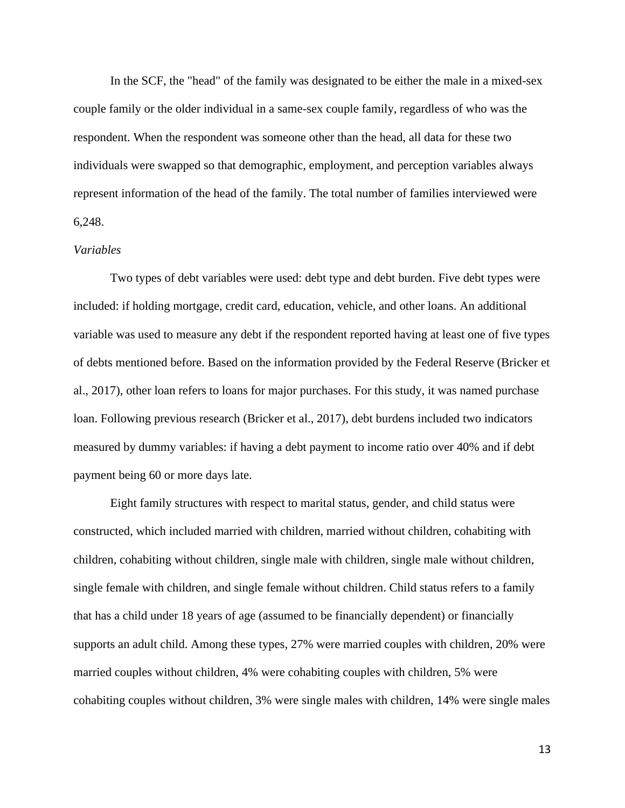In the SCF, the "head" of the family was designated to be either the male in a mixed-sex couple family or the older individual in a same-sex couple family, regardless of who was the respondent. When the respondent was someone other than the head, all data for these two individuals were swapped so that demographic, employment, and perception variables always represent information of the head of the family. The total number of families interviewed were 6,248.

## *Variables*

Two types of debt variables were used: debt type and debt burden. Five debt types were included: if holding mortgage, credit card, education, vehicle, and other loans. An additional variable was used to measure any debt if the respondent reported having at least one of five types of debts mentioned before. Based on the information provided by the Federal Reserve (Bricker et al., 2017), other loan refers to loans for major purchases. For this study, it was named purchase loan. Following previous research (Bricker et al., 2017), debt burdens included two indicators measured by dummy variables: if having a debt payment to income ratio over 40% and if debt payment being 60 or more days late.

Eight family structures with respect to marital status, gender, and child status were constructed, which included married with children, married without children, cohabiting with children, cohabiting without children, single male with children, single male without children, single female with children, and single female without children. Child status refers to a family that has a child under 18 years of age (assumed to be financially dependent) or financially supports an adult child. Among these types, 27% were married couples with children, 20% were married couples without children, 4% were cohabiting couples with children, 5% were cohabiting couples without children, 3% were single males with children, 14% were single males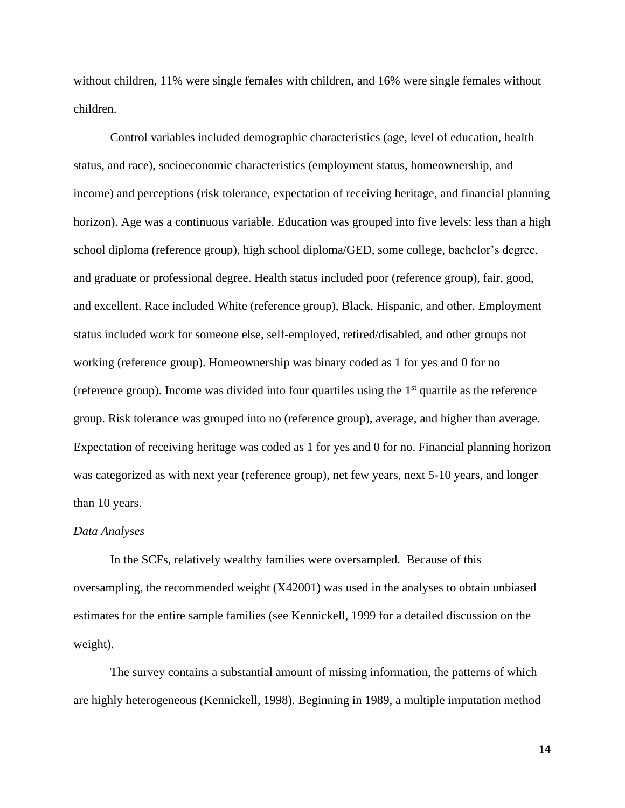without children, 11% were single females with children, and 16% were single females without children.

Control variables included demographic characteristics (age, level of education, health status, and race), socioeconomic characteristics (employment status, homeownership, and income) and perceptions (risk tolerance, expectation of receiving heritage, and financial planning horizon). Age was a continuous variable. Education was grouped into five levels: less than a high school diploma (reference group), high school diploma/GED, some college, bachelor's degree, and graduate or professional degree. Health status included poor (reference group), fair, good, and excellent. Race included White (reference group), Black, Hispanic, and other. Employment status included work for someone else, self-employed, retired/disabled, and other groups not working (reference group). Homeownership was binary coded as 1 for yes and 0 for no (reference group). Income was divided into four quartiles using the  $1<sup>st</sup>$  quartile as the reference group. Risk tolerance was grouped into no (reference group), average, and higher than average. Expectation of receiving heritage was coded as 1 for yes and 0 for no. Financial planning horizon was categorized as with next year (reference group), net few years, next 5-10 years, and longer than 10 years.

#### *Data Analyses*

In the SCFs, relatively wealthy families were oversampled. Because of this oversampling, the recommended weight (X42001) was used in the analyses to obtain unbiased estimates for the entire sample families (see Kennickell, 1999 for a detailed discussion on the weight).

The survey contains a substantial amount of missing information, the patterns of which are highly heterogeneous (Kennickell, 1998). Beginning in 1989, a multiple imputation method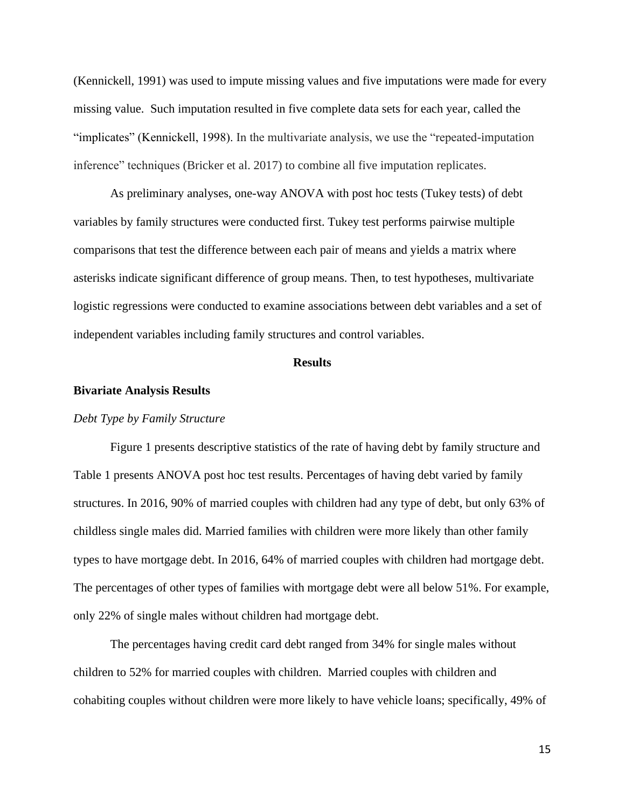(Kennickell, 1991) was used to impute missing values and five imputations were made for every missing value. Such imputation resulted in five complete data sets for each year, called the "implicates" (Kennickell, 1998). In the multivariate analysis, we use the "repeated-imputation inference" techniques (Bricker et al. 2017) to combine all five imputation replicates.

As preliminary analyses, one-way ANOVA with post hoc tests (Tukey tests) of debt variables by family structures were conducted first. Tukey test performs pairwise multiple comparisons that test the difference between each pair of means and yields a matrix where asterisks indicate significant difference of group means. Then, to test hypotheses, multivariate logistic regressions were conducted to examine associations between debt variables and a set of independent variables including family structures and control variables.

## **Results**

#### **Bivariate Analysis Results**

# *Debt Type by Family Structure*

Figure 1 presents descriptive statistics of the rate of having debt by family structure and Table 1 presents ANOVA post hoc test results. Percentages of having debt varied by family structures. In 2016, 90% of married couples with children had any type of debt, but only 63% of childless single males did. Married families with children were more likely than other family types to have mortgage debt. In 2016, 64% of married couples with children had mortgage debt. The percentages of other types of families with mortgage debt were all below 51%. For example, only 22% of single males without children had mortgage debt.

The percentages having credit card debt ranged from 34% for single males without children to 52% for married couples with children. Married couples with children and cohabiting couples without children were more likely to have vehicle loans; specifically, 49% of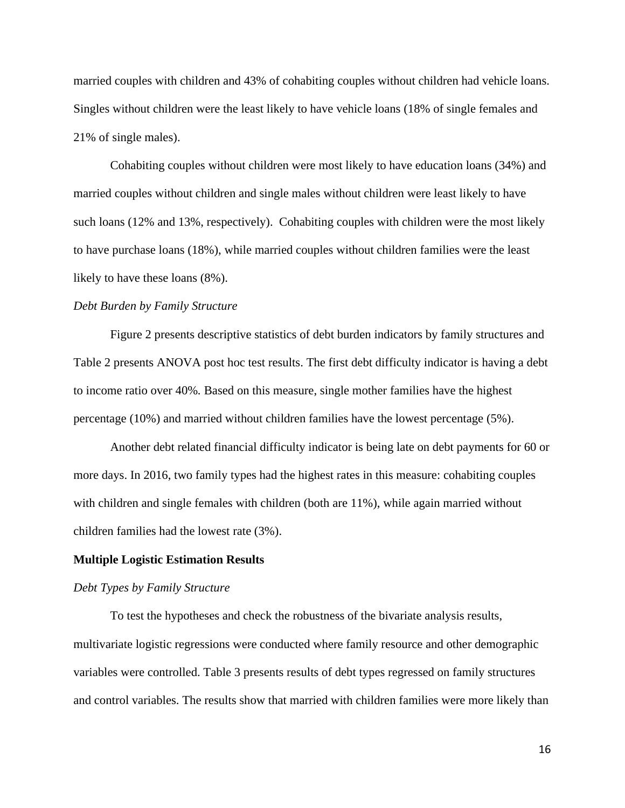married couples with children and 43% of cohabiting couples without children had vehicle loans. Singles without children were the least likely to have vehicle loans (18% of single females and 21% of single males).

Cohabiting couples without children were most likely to have education loans (34%) and married couples without children and single males without children were least likely to have such loans (12% and 13%, respectively). Cohabiting couples with children were the most likely to have purchase loans (18%), while married couples without children families were the least likely to have these loans (8%).

## *Debt Burden by Family Structure*

Figure 2 presents descriptive statistics of debt burden indicators by family structures and Table 2 presents ANOVA post hoc test results. The first debt difficulty indicator is having a debt to income ratio over 40%*.* Based on this measure, single mother families have the highest percentage (10%) and married without children families have the lowest percentage (5%).

Another debt related financial difficulty indicator is being late on debt payments for 60 or more days. In 2016, two family types had the highest rates in this measure: cohabiting couples with children and single females with children (both are 11%), while again married without children families had the lowest rate (3%).

#### **Multiple Logistic Estimation Results**

#### *Debt Types by Family Structure*

To test the hypotheses and check the robustness of the bivariate analysis results, multivariate logistic regressions were conducted where family resource and other demographic variables were controlled. Table 3 presents results of debt types regressed on family structures and control variables. The results show that married with children families were more likely than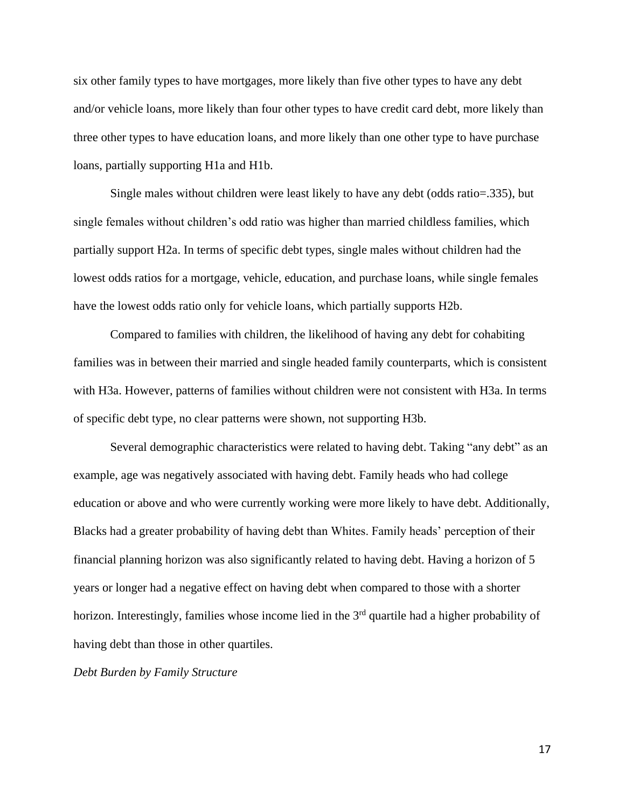six other family types to have mortgages, more likely than five other types to have any debt and/or vehicle loans, more likely than four other types to have credit card debt, more likely than three other types to have education loans, and more likely than one other type to have purchase loans, partially supporting H1a and H1b.

Single males without children were least likely to have any debt (odds ratio=.335), but single females without children's odd ratio was higher than married childless families, which partially support H2a. In terms of specific debt types, single males without children had the lowest odds ratios for a mortgage, vehicle, education, and purchase loans, while single females have the lowest odds ratio only for vehicle loans, which partially supports H2b.

Compared to families with children, the likelihood of having any debt for cohabiting families was in between their married and single headed family counterparts, which is consistent with H3a. However, patterns of families without children were not consistent with H3a. In terms of specific debt type, no clear patterns were shown, not supporting H3b.

Several demographic characteristics were related to having debt. Taking "any debt" as an example, age was negatively associated with having debt. Family heads who had college education or above and who were currently working were more likely to have debt. Additionally, Blacks had a greater probability of having debt than Whites. Family heads' perception of their financial planning horizon was also significantly related to having debt. Having a horizon of 5 years or longer had a negative effect on having debt when compared to those with a shorter horizon. Interestingly, families whose income lied in the  $3<sup>rd</sup>$  quartile had a higher probability of having debt than those in other quartiles.

*Debt Burden by Family Structure*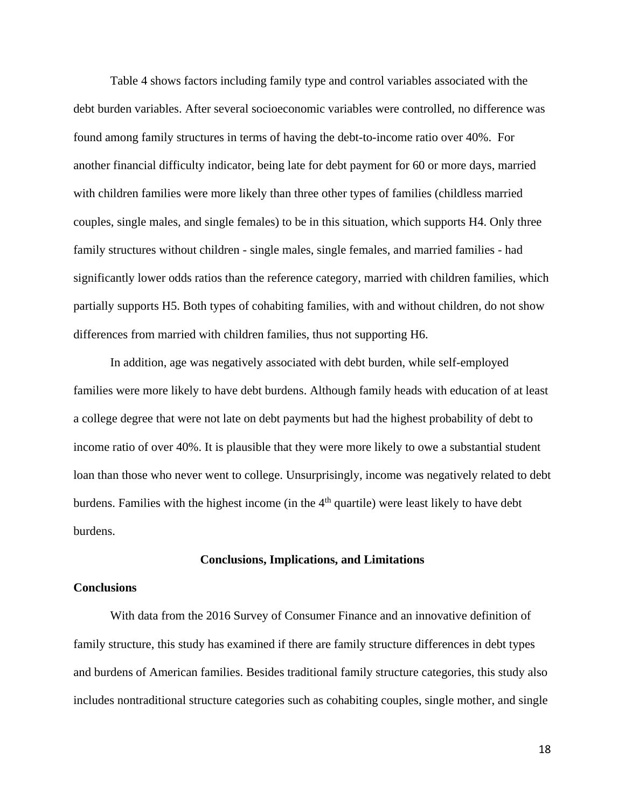Table 4 shows factors including family type and control variables associated with the debt burden variables. After several socioeconomic variables were controlled, no difference was found among family structures in terms of having the debt-to-income ratio over 40%. For another financial difficulty indicator, being late for debt payment for 60 or more days, married with children families were more likely than three other types of families (childless married couples, single males, and single females) to be in this situation, which supports H4. Only three family structures without children - single males, single females, and married families - had significantly lower odds ratios than the reference category, married with children families, which partially supports H5. Both types of cohabiting families, with and without children, do not show differences from married with children families, thus not supporting H6.

In addition, age was negatively associated with debt burden, while self-employed families were more likely to have debt burdens. Although family heads with education of at least a college degree that were not late on debt payments but had the highest probability of debt to income ratio of over 40%. It is plausible that they were more likely to owe a substantial student loan than those who never went to college. Unsurprisingly, income was negatively related to debt burdens. Families with the highest income (in the  $4<sup>th</sup>$  quartile) were least likely to have debt burdens.

#### **Conclusions, Implications, and Limitations**

## **Conclusions**

With data from the 2016 Survey of Consumer Finance and an innovative definition of family structure, this study has examined if there are family structure differences in debt types and burdens of American families. Besides traditional family structure categories, this study also includes nontraditional structure categories such as cohabiting couples, single mother, and single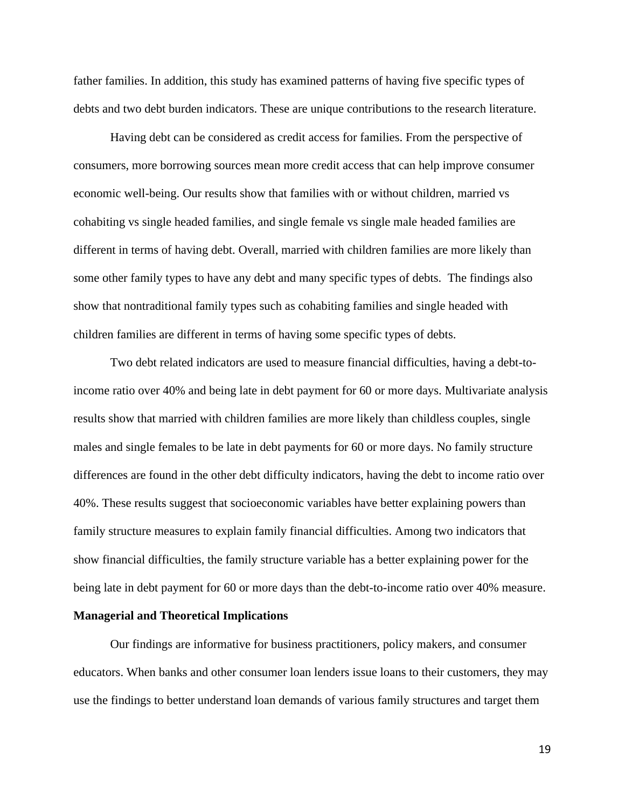father families. In addition, this study has examined patterns of having five specific types of debts and two debt burden indicators. These are unique contributions to the research literature.

Having debt can be considered as credit access for families. From the perspective of consumers, more borrowing sources mean more credit access that can help improve consumer economic well-being. Our results show that families with or without children, married vs cohabiting vs single headed families, and single female vs single male headed families are different in terms of having debt. Overall, married with children families are more likely than some other family types to have any debt and many specific types of debts. The findings also show that nontraditional family types such as cohabiting families and single headed with children families are different in terms of having some specific types of debts.

Two debt related indicators are used to measure financial difficulties, having a debt-toincome ratio over 40% and being late in debt payment for 60 or more days. Multivariate analysis results show that married with children families are more likely than childless couples, single males and single females to be late in debt payments for 60 or more days. No family structure differences are found in the other debt difficulty indicators, having the debt to income ratio over 40%. These results suggest that socioeconomic variables have better explaining powers than family structure measures to explain family financial difficulties. Among two indicators that show financial difficulties, the family structure variable has a better explaining power for the being late in debt payment for 60 or more days than the debt-to-income ratio over 40% measure.

# **Managerial and Theoretical Implications**

Our findings are informative for business practitioners, policy makers, and consumer educators. When banks and other consumer loan lenders issue loans to their customers, they may use the findings to better understand loan demands of various family structures and target them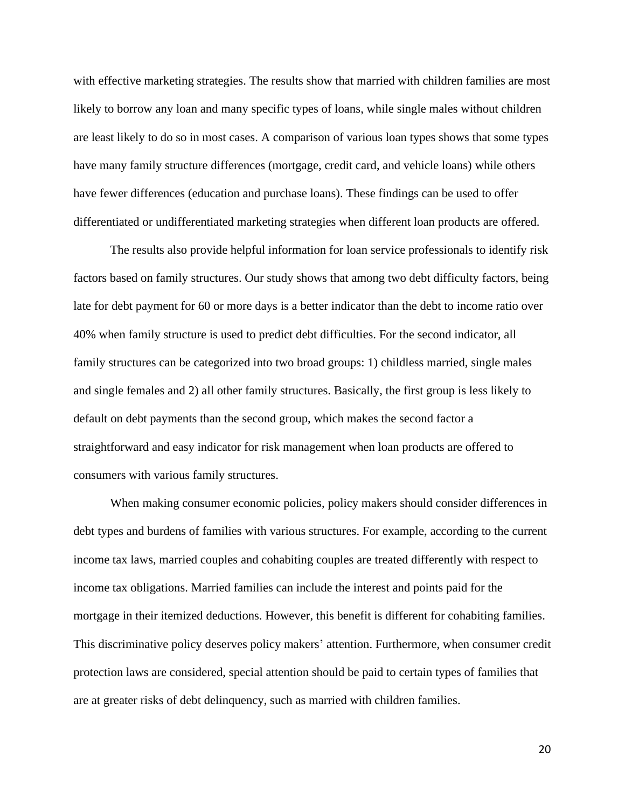with effective marketing strategies. The results show that married with children families are most likely to borrow any loan and many specific types of loans, while single males without children are least likely to do so in most cases. A comparison of various loan types shows that some types have many family structure differences (mortgage, credit card, and vehicle loans) while others have fewer differences (education and purchase loans). These findings can be used to offer differentiated or undifferentiated marketing strategies when different loan products are offered.

The results also provide helpful information for loan service professionals to identify risk factors based on family structures. Our study shows that among two debt difficulty factors, being late for debt payment for 60 or more days is a better indicator than the debt to income ratio over 40% when family structure is used to predict debt difficulties. For the second indicator, all family structures can be categorized into two broad groups: 1) childless married, single males and single females and 2) all other family structures. Basically, the first group is less likely to default on debt payments than the second group, which makes the second factor a straightforward and easy indicator for risk management when loan products are offered to consumers with various family structures.

When making consumer economic policies, policy makers should consider differences in debt types and burdens of families with various structures. For example, according to the current income tax laws, married couples and cohabiting couples are treated differently with respect to income tax obligations. Married families can include the interest and points paid for the mortgage in their itemized deductions. However, this benefit is different for cohabiting families. This discriminative policy deserves policy makers' attention. Furthermore, when consumer credit protection laws are considered, special attention should be paid to certain types of families that are at greater risks of debt delinquency, such as married with children families.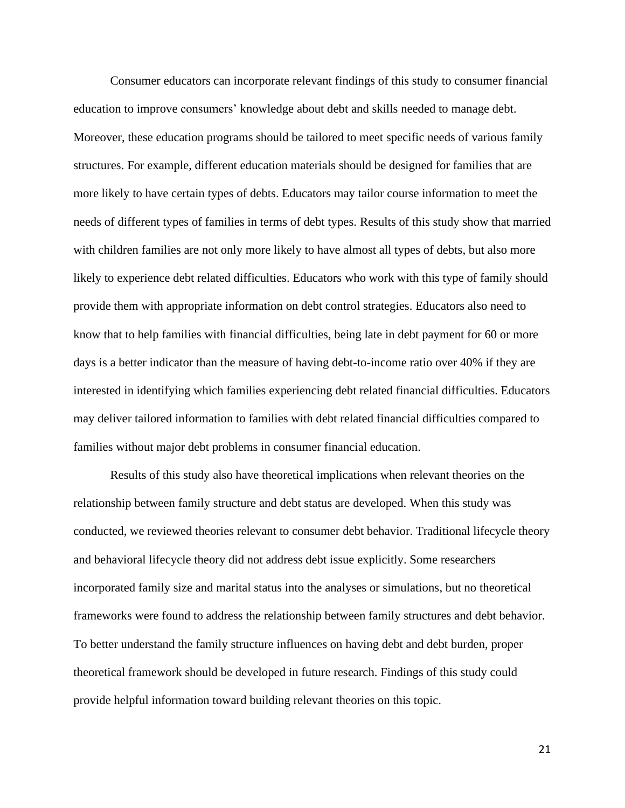Consumer educators can incorporate relevant findings of this study to consumer financial education to improve consumers' knowledge about debt and skills needed to manage debt. Moreover, these education programs should be tailored to meet specific needs of various family structures. For example, different education materials should be designed for families that are more likely to have certain types of debts. Educators may tailor course information to meet the needs of different types of families in terms of debt types. Results of this study show that married with children families are not only more likely to have almost all types of debts, but also more likely to experience debt related difficulties. Educators who work with this type of family should provide them with appropriate information on debt control strategies. Educators also need to know that to help families with financial difficulties, being late in debt payment for 60 or more days is a better indicator than the measure of having debt-to-income ratio over 40% if they are interested in identifying which families experiencing debt related financial difficulties. Educators may deliver tailored information to families with debt related financial difficulties compared to families without major debt problems in consumer financial education.

Results of this study also have theoretical implications when relevant theories on the relationship between family structure and debt status are developed. When this study was conducted, we reviewed theories relevant to consumer debt behavior. Traditional lifecycle theory and behavioral lifecycle theory did not address debt issue explicitly. Some researchers incorporated family size and marital status into the analyses or simulations, but no theoretical frameworks were found to address the relationship between family structures and debt behavior. To better understand the family structure influences on having debt and debt burden, proper theoretical framework should be developed in future research. Findings of this study could provide helpful information toward building relevant theories on this topic.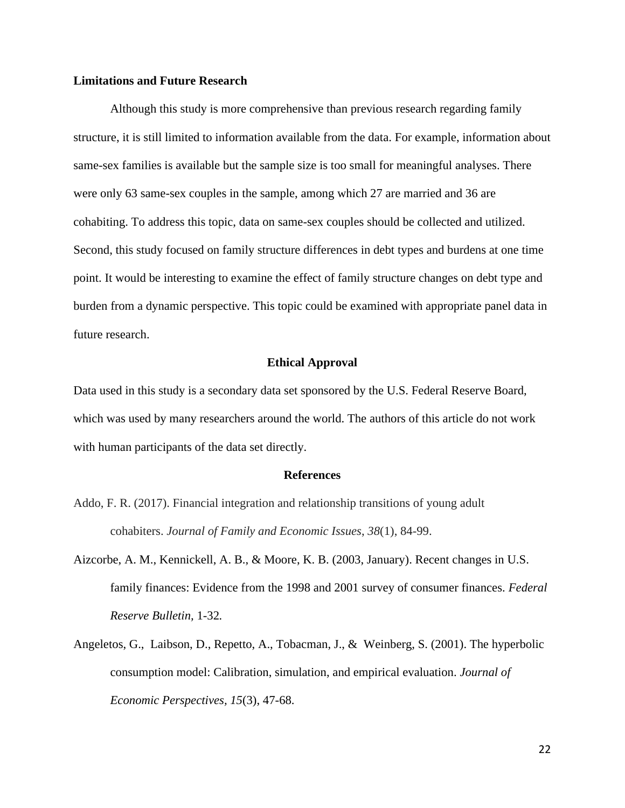# **Limitations and Future Research**

Although this study is more comprehensive than previous research regarding family structure, it is still limited to information available from the data. For example, information about same-sex families is available but the sample size is too small for meaningful analyses. There were only 63 same-sex couples in the sample, among which 27 are married and 36 are cohabiting. To address this topic, data on same-sex couples should be collected and utilized. Second, this study focused on family structure differences in debt types and burdens at one time point. It would be interesting to examine the effect of family structure changes on debt type and burden from a dynamic perspective. This topic could be examined with appropriate panel data in future research.

# **Ethical Approval**

Data used in this study is a secondary data set sponsored by the U.S. Federal Reserve Board, which was used by many researchers around the world. The authors of this article do not work with human participants of the data set directly.

#### **References**

- Addo, F. R. (2017). Financial integration and relationship transitions of young adult cohabiters. *Journal of Family and Economic Issues*, *38*(1), 84-99.
- Aizcorbe, A. M., Kennickell, A. B., & Moore, K. B. (2003, January). Recent changes in U.S. family finances: Evidence from the 1998 and 2001 survey of consumer finances. *Federal Reserve Bulletin,* 1-32*.*
- Angeletos, G., Laibson, D., Repetto, A., Tobacman, J., & Weinberg, S. (2001). The hyperbolic consumption model: Calibration, simulation, and empirical evaluation. *Journal of Economic Perspectives, 15*(3), 47-68.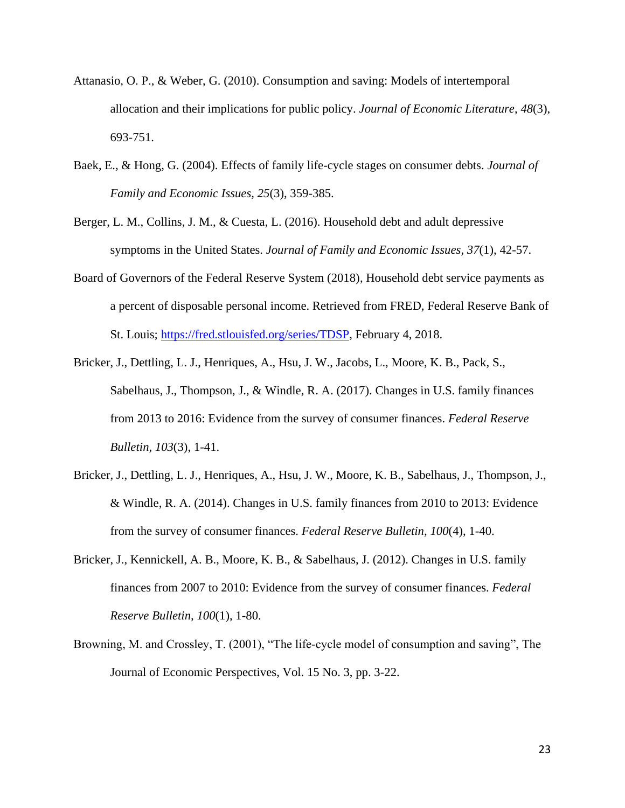- Attanasio, O. P., & Weber, G. (2010). Consumption and saving: Models of intertemporal allocation and their implications for public policy. *Journal of Economic Literature*, *48*(3), 693-751.
- Baek, E., & Hong, G. (2004). Effects of family life-cycle stages on consumer debts. *Journal of Family and Economic Issues, 25*(3), 359-385.
- Berger, L. M., Collins, J. M., & Cuesta, L. (2016). Household debt and adult depressive symptoms in the United States. *Journal of Family and Economic Issues, 37*(1), 42-57.
- Board of Governors of the Federal Reserve System (2018), Household debt service payments as a percent of disposable personal income. Retrieved from FRED, Federal Reserve Bank of St. Louis; [https://fred.stlouisfed.org/series/TDSP,](https://fred.stlouisfed.org/series/TDSP) February 4, 2018.
- Bricker, J., Dettling, L. J., Henriques, A., Hsu, J. W., Jacobs, L., Moore, K. B., Pack, S., Sabelhaus, J., Thompson, J., & Windle, R. A. (2017). Changes in U.S. family finances from 2013 to 2016: Evidence from the survey of consumer finances. *Federal Reserve Bulletin, 103*(3), 1-41.
- Bricker, J., Dettling, L. J., Henriques, A., Hsu, J. W., Moore, K. B., Sabelhaus, J., Thompson, J., & Windle, R. A. (2014). Changes in U.S. family finances from 2010 to 2013: Evidence from the survey of consumer finances. *Federal Reserve Bulletin, 100*(4), 1-40.
- Bricker, J., Kennickell, A. B., Moore, K. B., & Sabelhaus, J. (2012). Changes in U.S. family finances from 2007 to 2010: Evidence from the survey of consumer finances. *Federal Reserve Bulletin, 100*(1), 1-80.
- Browning, M. and Crossley, T. (2001), "The life-cycle model of consumption and saving", The Journal of Economic Perspectives, Vol. 15 No. 3, pp. 3-22.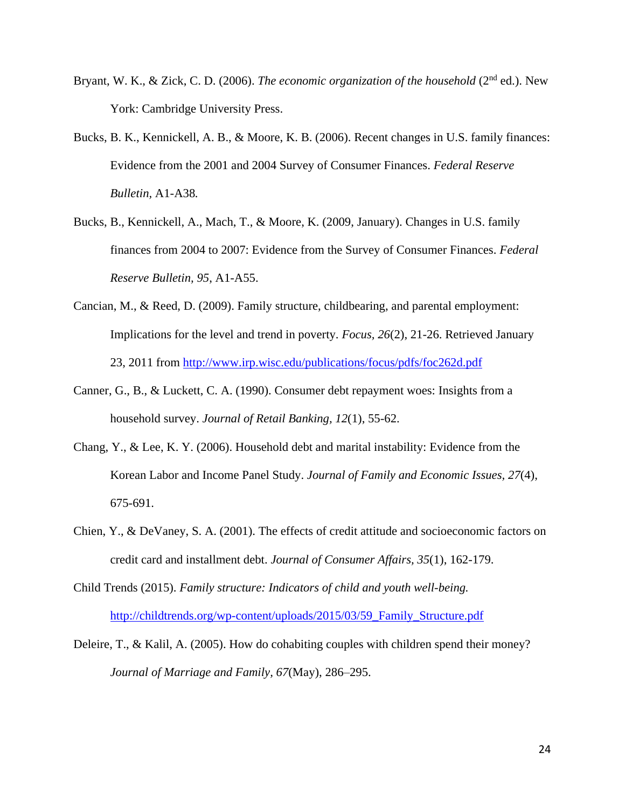- Bryant, W. K., & Zick, C. D. (2006). *The economic organization of the household* (2<sup>nd</sup> ed.). New York: Cambridge University Press.
- Bucks, B. K., Kennickell, A. B., & Moore, K. B. (2006). Recent changes in U.S. family finances: Evidence from the 2001 and 2004 Survey of Consumer Finances. *Federal Reserve Bulletin,* A1-A38*.*
- Bucks, B., Kennickell, A., Mach, T., & Moore, K. (2009, January). Changes in U.S. family finances from 2004 to 2007: Evidence from the Survey of Consumer Finances. *Federal Reserve Bulletin, 95*, A1-A55.
- Cancian, M., & Reed, D. (2009). Family structure, childbearing, and parental employment: Implications for the level and trend in poverty. *Focus, 26*(2), 21-26. Retrieved January 23, 2011 from<http://www.irp.wisc.edu/publications/focus/pdfs/foc262d.pdf>
- Canner, G., B., & Luckett, C. A. (1990). Consumer debt repayment woes: Insights from a household survey. *Journal of Retail Banking, 12*(1), 55-62.
- Chang, Y., & Lee, K. Y. (2006). Household debt and marital instability: Evidence from the Korean Labor and Income Panel Study. *Journal of Family and Economic Issues, 27*(4), 675-691.
- Chien, Y., & DeVaney, S. A. (2001). The effects of credit attitude and socioeconomic factors on credit card and installment debt. *Journal of Consumer Affairs, 35*(1), 162-179.
- Child Trends (2015). *Family structure: Indicators of child and youth well-being.* [http://childtrends.org/wp-content/uploads/2015/03/59\\_Family\\_Structure.pdf](http://childtrends.org/wp-content/uploads/2015/03/59_Family_Structure.pdf)
- Deleire, T., & Kalil, A. (2005). How do cohabiting couples with children spend their money? *Journal of Marriage and Family, 67*(May), 286–295.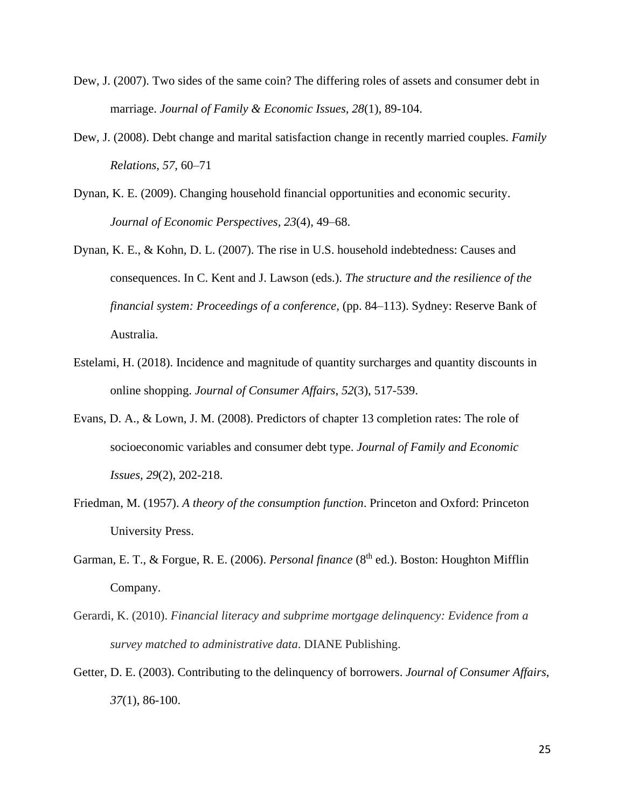- Dew, J. (2007). Two sides of the same coin? The differing roles of assets and consumer debt in marriage. *Journal of Family & Economic Issues, 28*(1), 89-104.
- Dew, J. (2008). Debt change and marital satisfaction change in recently married couples. *Family Relations, 57*, 60–71
- Dynan, K. E. (2009). Changing household financial opportunities and economic security. *Journal of Economic Perspectives, 23*(4), 49–68.
- Dynan, K. E., & Kohn, D. L. (2007). The rise in U.S. household indebtedness: Causes and consequences. In C. Kent and J. Lawson (eds.). *The structure and the resilience of the financial system: Proceedings of a conference,* (pp. 84–113). Sydney: Reserve Bank of Australia.
- Estelami, H. (2018). Incidence and magnitude of quantity surcharges and quantity discounts in online shopping. *Journal of Consumer Affairs*, *52*(3), 517-539.
- Evans, D. A., & Lown, J. M. (2008). Predictors of chapter 13 completion rates: The role of socioeconomic variables and consumer debt type. *Journal of Family and Economic Issues, 29*(2), 202-218.
- Friedman, M. (1957). *A theory of the consumption function*. Princeton and Oxford: Princeton University Press.
- Garman, E. T., & Forgue, R. E. (2006). *Personal finance* (8<sup>th</sup> ed.). Boston: Houghton Mifflin Company.
- Gerardi, K. (2010). *Financial literacy and subprime mortgage delinquency: Evidence from a survey matched to administrative data*. DIANE Publishing.
- Getter, D. E. (2003). Contributing to the delinquency of borrowers. *Journal of Consumer Affairs*, *37*(1), 86-100.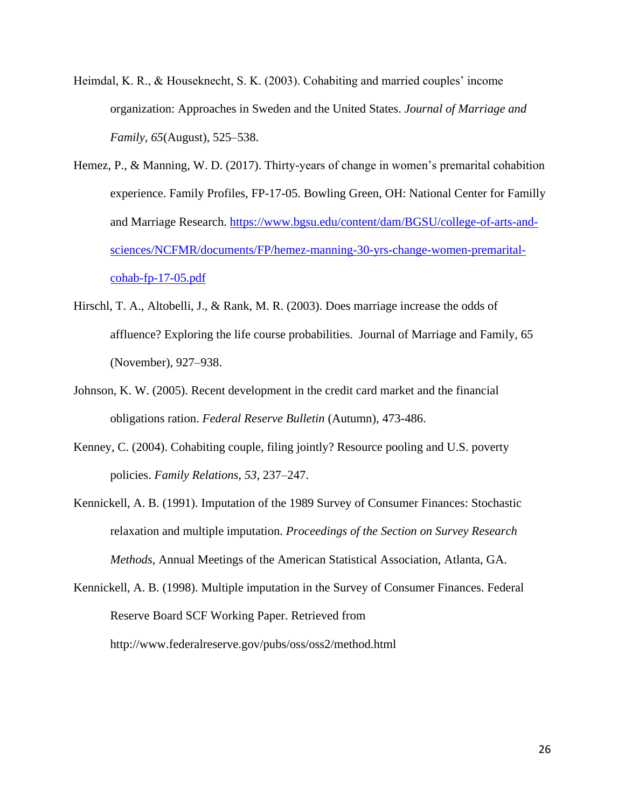- Heimdal, K. R., & Houseknecht, S. K. (2003). Cohabiting and married couples' income organization: Approaches in Sweden and the United States. *Journal of Marriage and Family, 65*(August), 525–538.
- Hemez, P., & Manning, W. D. (2017). Thirty-years of change in women's premarital cohabition experience. Family Profiles, FP-17-05. Bowling Green, OH: National Center for Familly and Marriage Research. [https://www.bgsu.edu/content/dam/BGSU/college-of-arts-and](https://www.bgsu.edu/content/dam/BGSU/college-of-arts-and-sciences/NCFMR/documents/FP/hemez-manning-30-yrs-change-women-premarital-cohab-fp-17-05.pdf)[sciences/NCFMR/documents/FP/hemez-manning-30-yrs-change-women-premarital](https://www.bgsu.edu/content/dam/BGSU/college-of-arts-and-sciences/NCFMR/documents/FP/hemez-manning-30-yrs-change-women-premarital-cohab-fp-17-05.pdf)[cohab-fp-17-05.pdf](https://www.bgsu.edu/content/dam/BGSU/college-of-arts-and-sciences/NCFMR/documents/FP/hemez-manning-30-yrs-change-women-premarital-cohab-fp-17-05.pdf)
- Hirschl, T. A., Altobelli, J., & Rank, M. R. (2003). Does marriage increase the odds of affluence? Exploring the life course probabilities. Journal of Marriage and Family, 65 (November), 927–938.
- Johnson, K. W. (2005). Recent development in the credit card market and the financial obligations ration. *Federal Reserve Bulletin* (Autumn), 473-486.
- Kenney, C. (2004). Cohabiting couple, filing jointly? Resource pooling and U.S. poverty policies. *Family Relations, 53*, 237–247.
- Kennickell, A. B. (1991). Imputation of the 1989 Survey of Consumer Finances: Stochastic relaxation and multiple imputation. *Proceedings of the Section on Survey Research Methods*, Annual Meetings of the American Statistical Association, Atlanta, GA.
- Kennickell, A. B. (1998). Multiple imputation in the Survey of Consumer Finances. Federal Reserve Board SCF Working Paper. Retrieved from http://www.federalreserve.gov/pubs/oss/oss2/method.html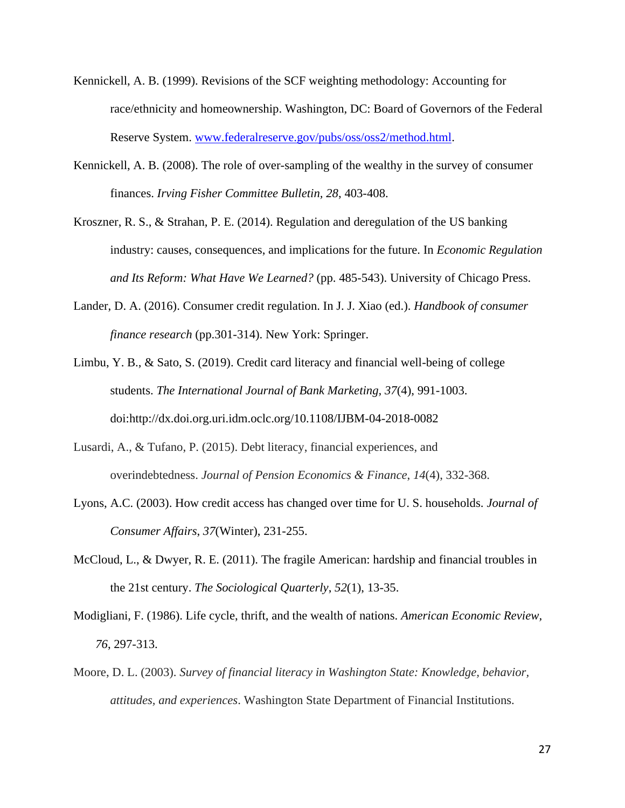- Kennickell, A. B. (1999). Revisions of the SCF weighting methodology: Accounting for race/ethnicity and homeownership. Washington, DC: Board of Governors of the Federal Reserve System. [www.federalreserve.gov/pubs/oss/oss2/method.html.](http://www.federalreserve.gov/pubs/oss/oss2/method.html)
- Kennickell, A. B. (2008). The role of over-sampling of the wealthy in the survey of consumer finances. *Irving Fisher Committee Bulletin, 28*, 403-408.
- Kroszner, R. S., & Strahan, P. E. (2014). Regulation and deregulation of the US banking industry: causes, consequences, and implications for the future. In *Economic Regulation and Its Reform: What Have We Learned?* (pp. 485-543). University of Chicago Press.
- Lander, D. A. (2016). Consumer credit regulation. In J. J. Xiao (ed.). *Handbook of consumer finance research* (pp.301-314). New York: Springer.
- Limbu, Y. B., & Sato, S. (2019). Credit card literacy and financial well-being of college students. *The International Journal of Bank Marketing, 37*(4), 991-1003. doi:http://dx.doi.org.uri.idm.oclc.org/10.1108/IJBM-04-2018-0082
- Lusardi, A., & Tufano, P. (2015). Debt literacy, financial experiences, and overindebtedness. *Journal of Pension Economics & Finance*, *14*(4), 332-368.
- Lyons, A.C. (2003). How credit access has changed over time for U. S. households. *Journal of Consumer Affairs*, *37*(Winter), 231-255.
- McCloud, L., & Dwyer, R. E. (2011). The fragile American: hardship and financial troubles in the 21st century. *The Sociological Quarterly*, *52*(1), 13-35.
- Modigliani, F. (1986). Life cycle, thrift, and the wealth of nations. *American Economic Review, 76*, 297-313.
- Moore, D. L. (2003). *Survey of financial literacy in Washington State: Knowledge, behavior, attitudes, and experiences*. Washington State Department of Financial Institutions.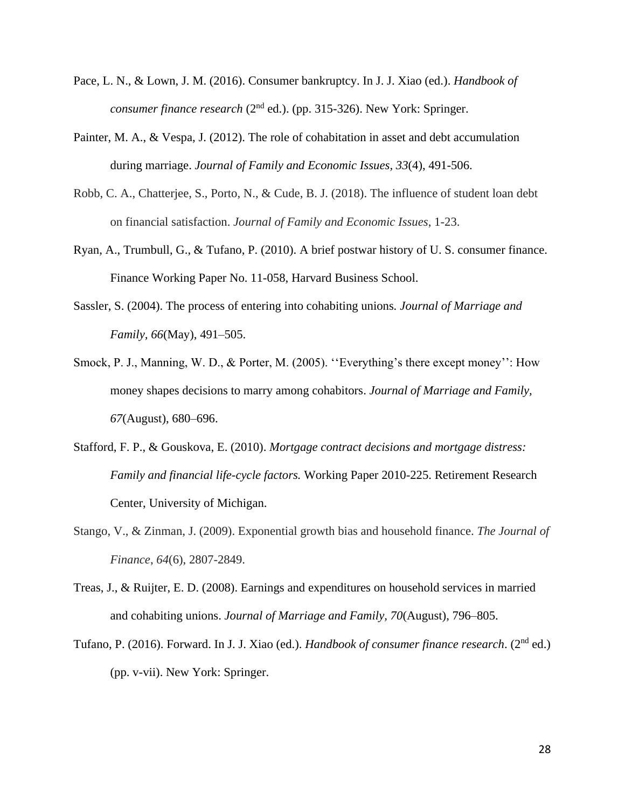- Pace, L. N., & Lown, J. M. (2016). Consumer bankruptcy. In J. J. Xiao (ed.). *Handbook of consumer finance research* (2<sup>nd</sup> ed.). (pp. 315-326). New York: Springer.
- Painter, M. A., & Vespa, J. (2012). The role of cohabitation in asset and debt accumulation during marriage. *Journal of Family and Economic Issues, 33*(4), 491-506.
- Robb, C. A., Chatterjee, S., Porto, N., & Cude, B. J. (2018). The influence of student loan debt on financial satisfaction. *Journal of Family and Economic Issues*, 1-23.
- Ryan, A., Trumbull, G., & Tufano, P. (2010). A brief postwar history of U. S. consumer finance. Finance Working Paper No. 11-058, Harvard Business School.
- Sassler, S. (2004). The process of entering into cohabiting unions*. Journal of Marriage and Family, 66*(May), 491–505.
- Smock, P. J., Manning, W. D., & Porter, M. (2005). ''Everything's there except money'': How money shapes decisions to marry among cohabitors. *Journal of Marriage and Family, 67*(August), 680–696.
- Stafford, F. P., & Gouskova, E. (2010). *Mortgage contract decisions and mortgage distress: Family and financial life-cycle factors.* Working Paper 2010-225. Retirement Research Center, University of Michigan.
- Stango, V., & Zinman, J. (2009). Exponential growth bias and household finance. *The Journal of Finance*, *64*(6), 2807-2849.
- Treas, J., & Ruijter, E. D. (2008). Earnings and expenditures on household services in married and cohabiting unions. *Journal of Marriage and Family, 70*(August), 796–805.
- Tufano, P. (2016). Forward. In J. J. Xiao (ed.). *Handbook of consumer finance research*. (2nd ed.) (pp. v-vii). New York: Springer.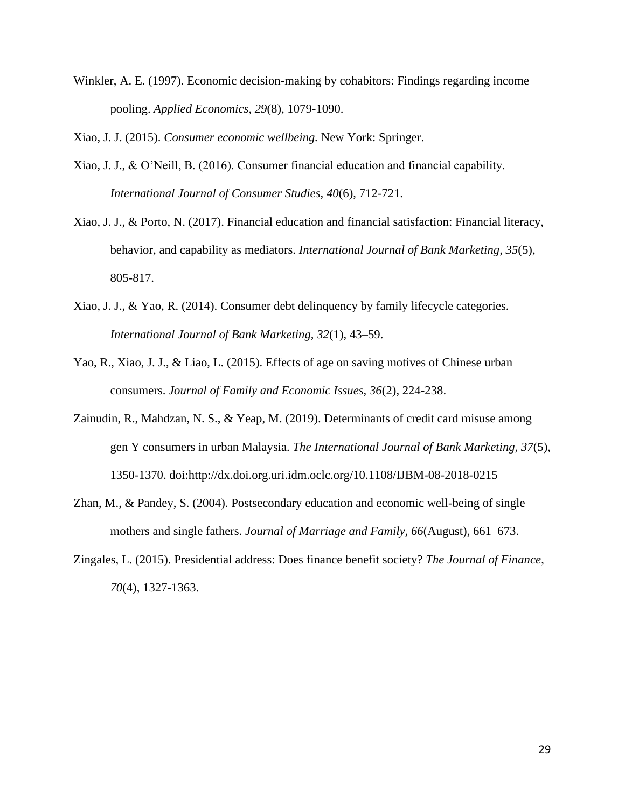Winkler, A. E. (1997). Economic decision-making by cohabitors: Findings regarding income pooling. *Applied Economics*, *29*(8), 1079-1090.

Xiao, J. J. (2015). *Consumer economic wellbeing.* New York: Springer.

- Xiao, J. J., & O'Neill, B. (2016). Consumer financial education and financial capability. *International Journal of Consumer Studies, 40*(6), 712-721.
- Xiao, J. J., & Porto, N. (2017). Financial education and financial satisfaction: Financial literacy, behavior, and capability as mediators. *International Journal of Bank Marketing, 35*(5), 805-817.
- Xiao, J. J., & Yao, R. (2014). Consumer debt delinquency by family lifecycle categories. *International Journal of Bank Marketing, 32*(1), 43–59.
- Yao, R., Xiao, J. J., & Liao, L. (2015). Effects of age on saving motives of Chinese urban consumers. *Journal of Family and Economic Issues, 36*(2), 224-238.
- Zainudin, R., Mahdzan, N. S., & Yeap, M. (2019). Determinants of credit card misuse among gen Y consumers in urban Malaysia. *The International Journal of Bank Marketing, 37*(5), 1350-1370. doi:http://dx.doi.org.uri.idm.oclc.org/10.1108/IJBM-08-2018-0215
- Zhan, M., & Pandey, S. (2004). Postsecondary education and economic well-being of single mothers and single fathers. *Journal of Marriage and Family, 66*(August), 661–673.
- Zingales, L. (2015). Presidential address: Does finance benefit society? *The Journal of Finance*, *70*(4), 1327-1363.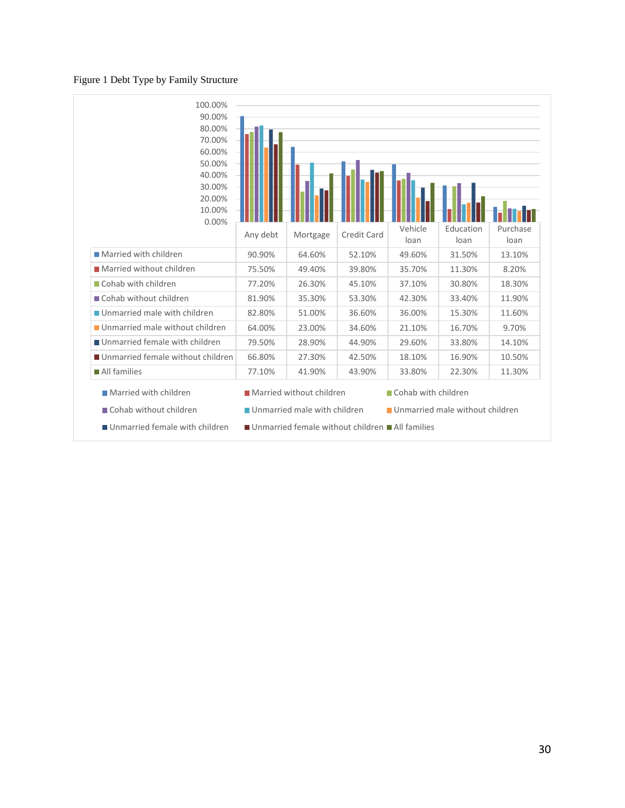#### Figure 1 Debt Type by Family Structure



- 
- Unmarried female with children Unmarried female without children All families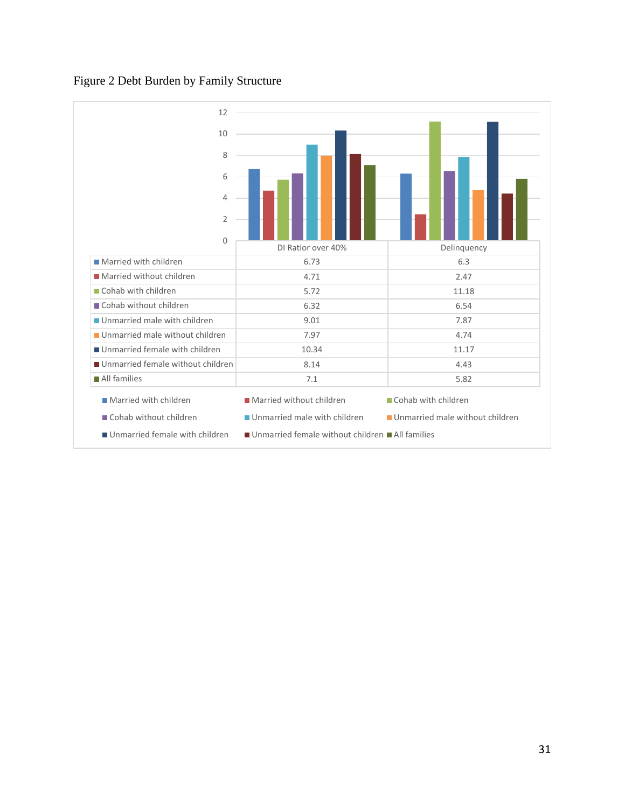# Figure 2 Debt Burden by Family Structure

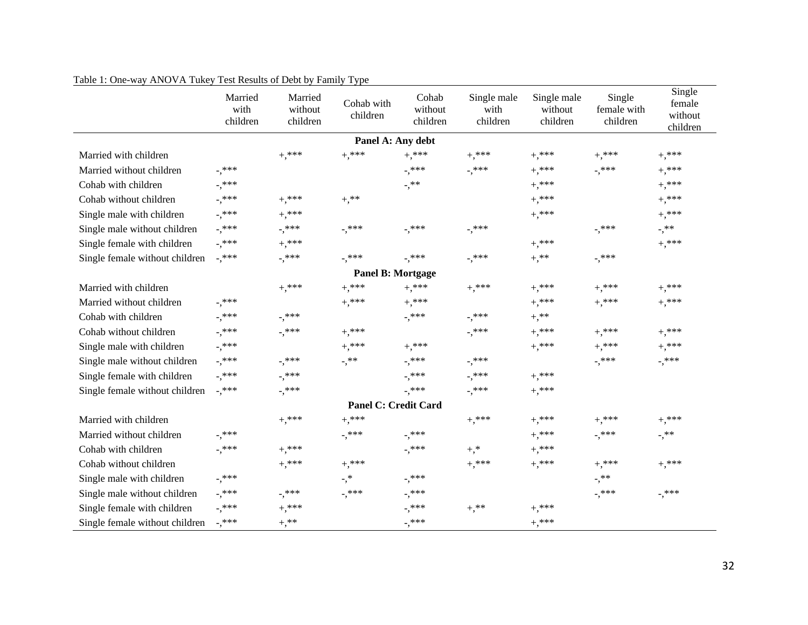|                                | Married<br>with<br>children | Married<br>without<br>children | Cohab with<br>children             | Cohab<br>without<br>children | Single male<br>with<br>children | Single male<br>without<br>children | Single<br>female with<br>children | Single<br>female<br>without<br>children |
|--------------------------------|-----------------------------|--------------------------------|------------------------------------|------------------------------|---------------------------------|------------------------------------|-----------------------------------|-----------------------------------------|
|                                |                             |                                | Panel A: Any debt                  |                              |                                 |                                    |                                   |                                         |
| Married with children          |                             | $^{+,**}$                      | $^{+,**}$                          | $^{+,**}$                    | $+,***$                         | $+,***$                            | $^{+,**}$                         | $+,***$                                 |
| Married without children       | $^{-},$ ***                 |                                |                                    | $^{-,***}$                   | $^{-,***}$                      | $^{+,**}$                          | $^{-,***}$                        | $^{+,**}$                               |
| Cohab with children            | -,***                       |                                |                                    | $^{-,**}$                    |                                 | $+,***$                            |                                   | $^{+,**}$                               |
| Cohab without children         | -,***                       | $+,***$                        | $+,***$                            |                              |                                 | $+,***$                            |                                   | $^{+,**}$                               |
| Single male with children      | $^{-},$ ***                 | $+,***$                        |                                    |                              |                                 | $+,***$                            |                                   | $^{+,**}$                               |
| Single male without children   | $^{-},$ ***                 | $^{-,***}$                     | -,***                              | $^{-,***}$                   | $^{-,***}$                      |                                    | -,***                             | $^{-,**}$                               |
| Single female with children    | $^{-},$ ***                 | $+,***$                        |                                    |                              |                                 | $+,***$                            |                                   | $+,***$                                 |
| Single female without children | $^{-,***}$                  | $^{-,***}$                     | $^{-,***}$                         | $^{-},$ ***                  | $^{-},$ ***                     | $^{+,**}$                          | -,***                             |                                         |
|                                |                             |                                | <b>Panel B: Mortgage</b>           |                              |                                 |                                    |                                   |                                         |
| Married with children          |                             | $^{+,**}$                      | $+,***$                            | $+,***$                      | $^{+,**}$                       | $^{+,***}$                         | $^{+,**}$                         | $^{+,**}$                               |
| Married without children       | $^{-,***}$                  |                                | $^{+,**}$                          | $+,***$                      |                                 | $+,*^{***}$                        | $^{+,***}$                        | $^{+,**}$                               |
| Cohab with children            | $^{-},$ ***                 | -,***                          |                                    | $^{-,***}$                   | $^{-},$ ***                     | $+,$ **                            |                                   |                                         |
| Cohab without children         | $^{-},$ ***                 | $^{-,***}$                     | $^{+,**}$                          |                              | $^{-,***}$                      | $^{+,**}$                          | $^{+,**}$                         | $^{+,**}$                               |
| Single male with children      | $^{-}, **$                  |                                | $^{+,**}$                          | $+,***$                      |                                 | $^{+,**}$                          | $+,***$                           | $+,***$                                 |
| Single male without children   | -,***                       | $^{-}, ^{***}$                 | $\overline{\phantom{0}}$ , $^{**}$ | $^{-,***}$                   | $^{-},$ ***                     |                                    | $^{-},$ ***                       | $^{-,***}$                              |
| Single female with children    | $^{-,***}$                  | -,***                          |                                    | -,***                        | $^{-,***}$                      | $+,***$                            |                                   |                                         |
| Single female without children | $^{-},$ ***                 | $-$ ,***                       |                                    | $^{-,***}$                   | $-$ ,***                        | $+,***$                            |                                   |                                         |
|                                |                             |                                | <b>Panel C: Credit Card</b>        |                              |                                 |                                    |                                   |                                         |
| Married with children          |                             | $+,***$                        | $^{+,**}$                          |                              | $^{+,**}$                       | $^{+,**}$                          | $^{+,**}$                         | $^{+,**}$                               |
| Married without children       | $^{-},$ ***                 |                                | -,***                              | $^{-,***}$                   |                                 | $^{+,**}$                          | $^{-},$ ***                       | $^{-,**}$                               |
| Cohab with children            | $^{-,***}$                  | $^{+,**}$                      |                                    | $^{-,***}$                   | $+,^*$                          | $+,***$                            |                                   |                                         |
| Cohab without children         |                             | $+,***$                        | $^{+,**}$                          |                              | $^{+,**}$                       | $^{+,**}$                          | $^{+,**}$                         | $+,***$                                 |
| Single male with children      | $^{-},$ ***                 |                                | $\overline{\phantom{a}},\ast$      | $^{-,***}$                   |                                 |                                    | $^{-,**}$                         |                                         |
| Single male without children   | -,***                       | $^{-,***}$                     | -,***                              | -,***                        |                                 |                                    | -,***                             | $^{-,***}$                              |
| Single female with children    | $^{-}, ^{***}$              | $^{+,***}$                     |                                    | $^{-,***}$                   | $+,***$                         | $+,***$                            |                                   |                                         |
| Single female without children | $^{-,***}$                  | $^{+,**}$                      |                                    | $^{-,***}$                   |                                 | $+,***$                            |                                   |                                         |

Table 1: One-way ANOVA Tukey Test Results of Debt by Family Type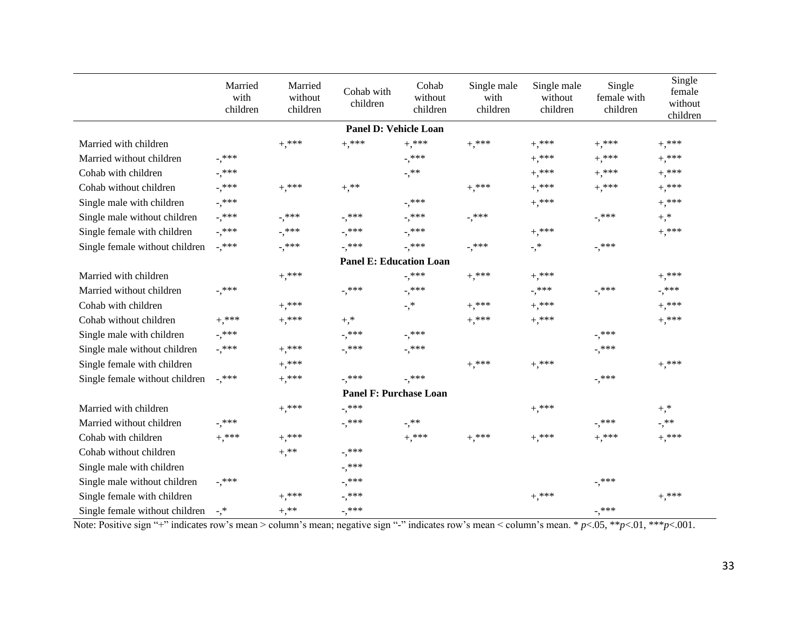|                                | Married<br>with<br>children | Married<br>without<br>children | Cohab with<br>children         | Cohab<br>without<br>children        | Single male<br>with<br>children | Single male<br>without<br>children  | Single<br>female with<br>children | Single<br>female<br>without<br>children |
|--------------------------------|-----------------------------|--------------------------------|--------------------------------|-------------------------------------|---------------------------------|-------------------------------------|-----------------------------------|-----------------------------------------|
|                                |                             |                                | <b>Panel D: Vehicle Loan</b>   |                                     |                                 |                                     |                                   |                                         |
| Married with children          |                             | $^{+,***}$                     | $+,***$                        | $^{+,**}$                           | $+,***$                         | $+,***$                             | $+,***$                           | $+,***$                                 |
| Married without children       | $^{-}, ^{***}$              |                                |                                | $^{-,***}$                          |                                 | $^{+,**}$                           | $+,***$                           | $^{+,**}$                               |
| Cohab with children            | -,***                       |                                |                                | $^{-,**}$                           |                                 | $^{+,**}$                           | $+,***$                           | $+,***$                                 |
| Cohab without children         | -,***                       | $^{+,**}$                      | $+,**$                         |                                     | $^{+,**}$                       | $^{+,**}$                           | $+,***$                           | $^{+,**}$                               |
| Single male with children      | $^{-,***}$                  |                                |                                | $^{-,***}$                          |                                 | $^{+,**}$                           |                                   | $^{+,**}$                               |
| Single male without children   | -,***                       | $^{-,***}$                     | $^{-},$ ***                    | $^{-,***}$                          | $^{-},$ ***                     |                                     | $^{-,***}$                        | $+,^*$                                  |
| Single female with children    | -,***                       | -,***                          | -,***                          | $^{-,***}$                          |                                 | $+,***$                             |                                   | $+,***$                                 |
| Single female without children | -,***                       | $^{-,***}$                     | $^{-,***}$                     | $^{-,***}$                          | $^{-,***}$                      | $\overline{\cdot},\overline{\cdot}$ | $^{-},$ ***                       |                                         |
|                                |                             |                                | <b>Panel E: Education Loan</b> |                                     |                                 |                                     |                                   |                                         |
| Married with children          |                             | $+,***$                        |                                | $^{-,***}$                          | $+,***$                         | $^{+,**}$                           |                                   | $^{+,**}$                               |
| Married without children       | $^{-,***}$                  |                                | $^{-,***}$                     | $^{-},$ ***                         |                                 | -,***                               | $^{-,***}$                        | $^{-,***}$                              |
| Cohab with children            |                             | $+,***$                        |                                | $\overline{\cdot},\overline{\cdot}$ | $+,***$                         | $+,***$                             |                                   | $^{+,**}$                               |
| Cohab without children         | $+,***$                     | $^{+,**}$                      | $+,^*$                         |                                     | $^{+,**}$                       | $+,***$                             |                                   | $+,***$                                 |
| Single male with children      | -,***                       |                                | $^{-,***}$                     | $^{-},$ ***                         |                                 |                                     | -,***                             |                                         |
| Single male without children   | -,***                       | $^{+,**}$                      | $^{-,***}$                     | $^{-},$ ***                         |                                 |                                     | -,***                             |                                         |
| Single female with children    |                             | $^{+,***}$                     |                                |                                     | $+,***$                         | $+,***$                             |                                   | $^{+,**}$                               |
| Single female without children | $^{-,***}$                  | $^{+,**}$                      | $^{-,***}$                     | $^{-,***}$                          |                                 |                                     | $^{-},$ ***                       |                                         |
|                                |                             |                                | <b>Panel F: Purchase Loan</b>  |                                     |                                 |                                     |                                   |                                         |
| Married with children          |                             | $^{+,**}$                      | $^{-,***}$                     |                                     |                                 | $+,***$                             |                                   | $+,^*$                                  |
| Married without children       | $^{-,***}$                  |                                | $^{-,***}$                     | $^{-,**}$                           |                                 |                                     | $^{-,***}$                        | $\overline{\phantom{0}}$ ,**            |
| Cohab with children            | $+,***$                     | $^{+,**}$                      |                                | $+,***$                             | $^{+,***}$                      | $^{+,**}$                           | $+,***$                           | $+,***$                                 |
| Cohab without children         |                             | $+ , ^{**}$                    | $^{-,***}$                     |                                     |                                 |                                     |                                   |                                         |
| Single male with children      |                             |                                | $^{-,***}$                     |                                     |                                 |                                     |                                   |                                         |
| Single male without children   | $^{-,***}$                  |                                | $^{-,***}$                     |                                     |                                 |                                     | $^{-,***}$                        |                                         |
| Single female with children    |                             | $^{+,**}$                      | $^{-,***}$                     |                                     |                                 | $^{+,***}$                          |                                   | $+,***$                                 |
| Single female without children | $-$ ,*                      | $+$ ,**                        | $^{-},$ ***                    |                                     |                                 |                                     | $^{-,***}$                        |                                         |

Note: Positive sign "+" indicates row's mean > column's mean; negative sign "-" indicates row's mean < column's mean. \* *p*<.05, \*\**p*<.01, \*\*\**p*<.001.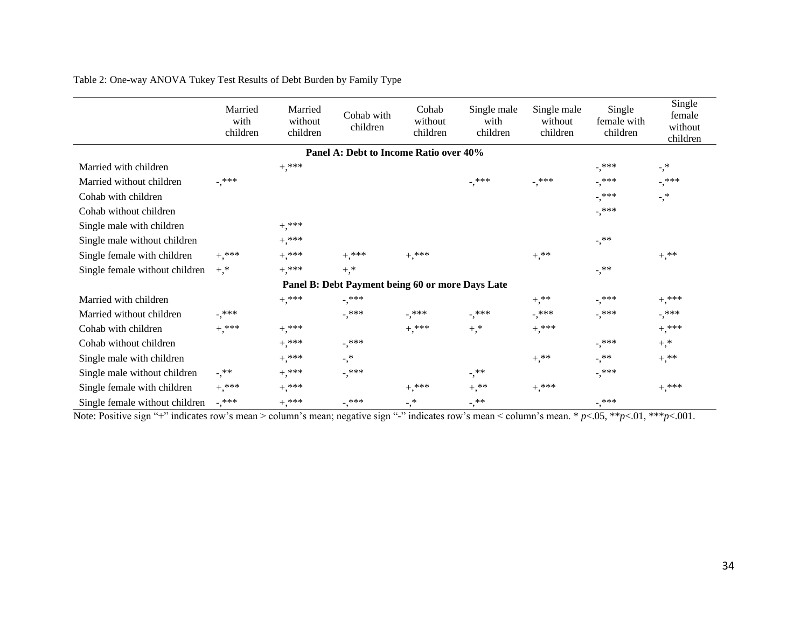|                                | Married<br>with<br>children | Married<br>without<br>children | Cohab with<br>children                           | Cohab<br>without<br>children | Single male<br>with<br>children | Single male<br>without<br>children | Single<br>female with<br>children | Single<br>female<br>without<br>children |
|--------------------------------|-----------------------------|--------------------------------|--------------------------------------------------|------------------------------|---------------------------------|------------------------------------|-----------------------------------|-----------------------------------------|
|                                |                             |                                | Panel A: Debt to Income Ratio over 40%           |                              |                                 |                                    |                                   |                                         |
| Married with children          |                             | $+,***$                        |                                                  |                              |                                 |                                    | $^{-,***}$                        | -,*                                     |
| Married without children       | $-$ ,***                    |                                |                                                  |                              | $^{-,***}$                      | $^{-,***}$                         | -,***                             | $^{-,***}$                              |
| Cohab with children            |                             |                                |                                                  |                              |                                 |                                    | $^{-,***}$                        | $-$ ,*                                  |
| Cohab without children         |                             |                                |                                                  |                              |                                 |                                    | $^{-,***}$                        |                                         |
| Single male with children      |                             | $+,***$                        |                                                  |                              |                                 |                                    |                                   |                                         |
| Single male without children   |                             | $+,***$                        |                                                  |                              |                                 |                                    | $-$ , $**$                        |                                         |
| Single female with children    | $+,***$                     | $+,***$                        | $+,***$                                          | $+,***$                      |                                 | $+,$ **                            |                                   | $+,$ **                                 |
| Single female without children | $+,^*$                      | $+,***$                        | $+,^*$                                           |                              |                                 |                                    | $-$ , $**$                        |                                         |
|                                |                             |                                | Panel B: Debt Payment being 60 or more Days Late |                              |                                 |                                    |                                   |                                         |
| Married with children          |                             | $+$ ,***                       | $^{-,***}$                                       |                              |                                 | $+,$ **                            | $^{-},$ ***                       | $+,***$                                 |
| Married without children       | $^{-,***}$                  |                                | $^{-,***}$                                       | -,***                        | $^{-,***}$                      | $^{-,***}$                         | $^{-,***}$                        | $^{-,***}$                              |
| Cohab with children            | $+,***$                     | $+,***$                        |                                                  | $+$ ,***                     | $+,^*$                          | $+,***$                            |                                   | $+,***$                                 |
| Cohab without children         |                             | $+,***$                        | -,***                                            |                              |                                 |                                    | $^{-,***}$                        | $+,^*$                                  |
| Single male with children      |                             | $+,***$                        | $\cdot$ ,*                                       |                              |                                 | $+,$ **                            | -,**                              | $+,$ **                                 |
| Single male without children   | $^{-, **}$                  | $+,***$                        | $^{-,***}$                                       |                              | $^{-,**}$                       |                                    | $^{-,***}$                        |                                         |
| Single female with children    | $+,***$                     | $+,***$                        |                                                  | $^{+,***}$                   | $+,$ **                         | $+,***$                            |                                   | $+,***$                                 |
| Single female without children | $^{-,***}$                  | $+,***$                        | -,***                                            | $\overline{\phantom{a}}$ ,*  | -,**                            |                                    | -,***                             |                                         |

Table 2: One-way ANOVA Tukey Test Results of Debt Burden by Family Type

Note: Positive sign "+" indicates row's mean > column's mean; negative sign "-" indicates row's mean < column's mean. \* *p*<.05, \*\**p*<.01, \*\*\**p*<.001.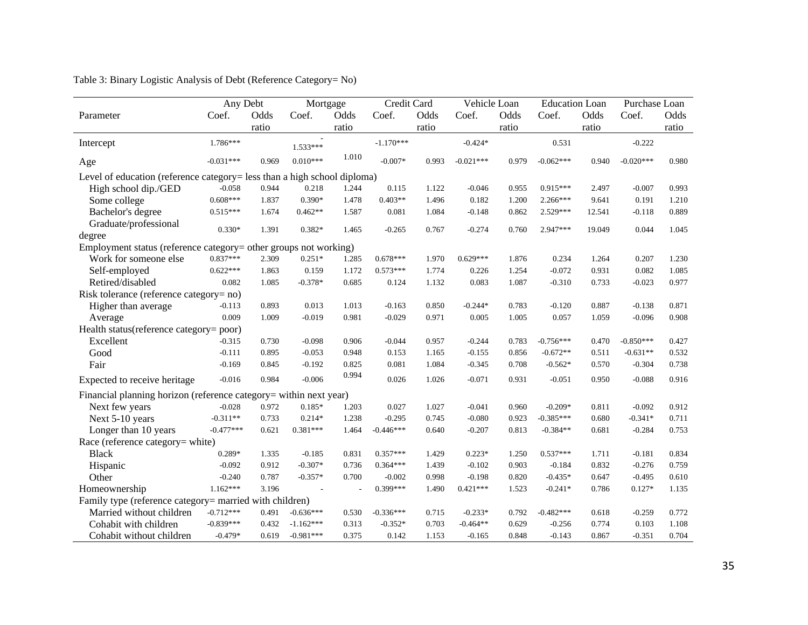|                                                                          | Any Debt    |       | Mortgage       |       | Credit Card |       | Vehicle Loan |       | <b>Education Loan</b> |        | Purchase Loan |       |
|--------------------------------------------------------------------------|-------------|-------|----------------|-------|-------------|-------|--------------|-------|-----------------------|--------|---------------|-------|
| Parameter                                                                | Coef.       | Odds  | Coef.          | Odds  | Coef.       | Odds  | Coef.        | Odds  | Coef.                 | Odds   | Coef.         | Odds  |
|                                                                          |             | ratio |                | ratio |             | ratio |              | ratio |                       | ratio  |               | ratio |
| Intercept                                                                | $1.786***$  |       | $1.533***$     |       | $-1.170***$ |       | $-0.424*$    |       | 0.531                 |        | $-0.222$      |       |
| Age                                                                      | $-0.031***$ | 0.969 | $0.010***$     | 1.010 | $-0.007*$   | 0.993 | $-0.021***$  | 0.979 | $-0.062***$           | 0.940  | $-0.020***$   | 0.980 |
| Level of education (reference category= less than a high school diploma) |             |       |                |       |             |       |              |       |                       |        |               |       |
| High school dip./GED                                                     | $-0.058$    | 0.944 | 0.218          | 1.244 | 0.115       | 1.122 | $-0.046$     | 0.955 | $0.915***$            | 2.497  | $-0.007$      | 0.993 |
| Some college                                                             | $0.608***$  | 1.837 | $0.390*$       | 1.478 | $0.403**$   | 1.496 | 0.182        | 1.200 | $2.266***$            | 9.641  | 0.191         | 1.210 |
| Bachelor's degree                                                        | $0.515***$  | 1.674 | $0.462**$      | 1.587 | 0.081       | 1.084 | $-0.148$     | 0.862 | $2.529***$            | 12.541 | $-0.118$      | 0.889 |
| Graduate/professional<br>degree                                          | $0.330*$    | 1.391 | $0.382*$       | 1.465 | $-0.265$    | 0.767 | $-0.274$     | 0.760 | 2.947***              | 19.049 | 0.044         | 1.045 |
| Employment status (reference category= other groups not working)         |             |       |                |       |             |       |              |       |                       |        |               |       |
| Work for someone else                                                    | $0.837***$  | 2.309 | $0.251*$       | 1.285 | $0.678***$  | 1.970 | $0.629***$   | 1.876 | 0.234                 | 1.264  | 0.207         | 1.230 |
| Self-employed                                                            | $0.622***$  | 1.863 | 0.159          | 1.172 | $0.573***$  | 1.774 | 0.226        | 1.254 | $-0.072$              | 0.931  | 0.082         | 1.085 |
| Retired/disabled                                                         | 0.082       | 1.085 | $-0.378*$      | 0.685 | 0.124       | 1.132 | 0.083        | 1.087 | $-0.310$              | 0.733  | $-0.023$      | 0.977 |
| Risk tolerance (reference category= no)                                  |             |       |                |       |             |       |              |       |                       |        |               |       |
| Higher than average                                                      | $-0.113$    | 0.893 | 0.013          | 1.013 | $-0.163$    | 0.850 | $-0.244*$    | 0.783 | $-0.120$              | 0.887  | $-0.138$      | 0.871 |
| Average                                                                  | 0.009       | 1.009 | $-0.019$       | 0.981 | $-0.029$    | 0.971 | 0.005        | 1.005 | 0.057                 | 1.059  | $-0.096$      | 0.908 |
| Health status(reference category= poor)                                  |             |       |                |       |             |       |              |       |                       |        |               |       |
| Excellent                                                                | $-0.315$    | 0.730 | $-0.098$       | 0.906 | $-0.044$    | 0.957 | $-0.244$     | 0.783 | $-0.756***$           | 0.470  | $-0.850***$   | 0.427 |
| Good                                                                     | $-0.111$    | 0.895 | $-0.053$       | 0.948 | 0.153       | 1.165 | $-0.155$     | 0.856 | $-0.672**$            | 0.511  | $-0.631**$    | 0.532 |
| Fair                                                                     | $-0.169$    | 0.845 | $-0.192$       | 0.825 | 0.081       | 1.084 | $-0.345$     | 0.708 | $-0.562*$             | 0.570  | $-0.304$      | 0.738 |
| Expected to receive heritage                                             | $-0.016$    | 0.984 | $-0.006$       | 0.994 | 0.026       | 1.026 | $-0.071$     | 0.931 | $-0.051$              | 0.950  | $-0.088$      | 0.916 |
| Financial planning horizon (reference category= within next year)        |             |       |                |       |             |       |              |       |                       |        |               |       |
| Next few years                                                           | $-0.028$    | 0.972 | $0.185*$       | 1.203 | 0.027       | 1.027 | $-0.041$     | 0.960 | $-0.209*$             | 0.811  | $-0.092$      | 0.912 |
| Next 5-10 years                                                          | $-0.311**$  | 0.733 | $0.214*$       | 1.238 | $-0.295$    | 0.745 | $-0.080$     | 0.923 | $-0.385***$           | 0.680  | $-0.341*$     | 0.711 |
| Longer than 10 years                                                     | $-0.477***$ | 0.621 | $0.381***$     | 1.464 | $-0.446***$ | 0.640 | $-0.207$     | 0.813 | $-0.384**$            | 0.681  | $-0.284$      | 0.753 |
| Race (reference category= white)                                         |             |       |                |       |             |       |              |       |                       |        |               |       |
| <b>Black</b>                                                             | $0.289*$    | 1.335 | $-0.185$       | 0.831 | $0.357***$  | 1.429 | $0.223*$     | 1.250 | $0.537***$            | 1.711  | $-0.181$      | 0.834 |
| Hispanic                                                                 | $-0.092$    | 0.912 | $-0.307*$      | 0.736 | $0.364***$  | 1.439 | $-0.102$     | 0.903 | $-0.184$              | 0.832  | $-0.276$      | 0.759 |
| Other                                                                    | $-0.240$    | 0.787 | $-0.357*$      | 0.700 | $-0.002$    | 0.998 | $-0.198$     | 0.820 | $-0.435*$             | 0.647  | $-0.495$      | 0.610 |
| Homeownership                                                            | $1.162***$  | 3.196 | $\overline{a}$ |       | $0.399***$  | 1.490 | $0.421***$   | 1.523 | $-0.241*$             | 0.786  | $0.127*$      | 1.135 |
| Family type (reference category= married with children)                  |             |       |                |       |             |       |              |       |                       |        |               |       |
| Married without children                                                 | $-0.712***$ | 0.491 | $-0.636***$    | 0.530 | $-0.336***$ | 0.715 | $-0.233*$    | 0.792 | $-0.482***$           | 0.618  | $-0.259$      | 0.772 |
| Cohabit with children                                                    | $-0.839***$ | 0.432 | $-1.162***$    | 0.313 | $-0.352*$   | 0.703 | $-0.464**$   | 0.629 | $-0.256$              | 0.774  | 0.103         | 1.108 |
| Cohabit without children                                                 | $-0.479*$   | 0.619 | $-0.981***$    | 0.375 | 0.142       | 1.153 | $-0.165$     | 0.848 | $-0.143$              | 0.867  | $-0.351$      | 0.704 |

# Table 3: Binary Logistic Analysis of Debt (Reference Category= No)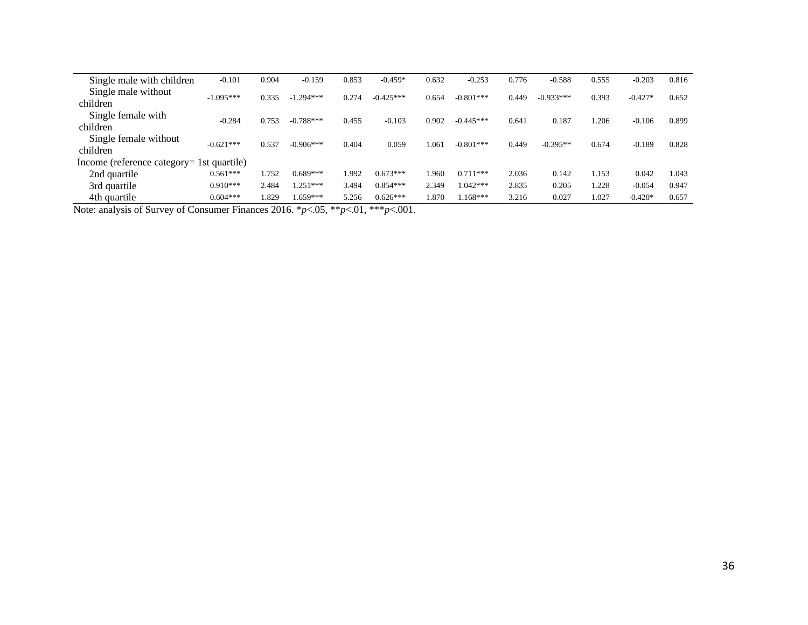| Single male with children                 | $-0.101$    | 0.904 | $-0.159$    | 0.853 | $-0.459*$   | 0.632 | $-0.253$    | 0.776 | $-0.588$    | 0.555 | $-0.203$  | 0.816 |
|-------------------------------------------|-------------|-------|-------------|-------|-------------|-------|-------------|-------|-------------|-------|-----------|-------|
| Single male without<br>children           | $-1.095***$ | 0.335 | $-1.294***$ | 0.274 | $-0.425***$ | 0.654 | $-0.801***$ | 0.449 | $-0.933***$ | 0.393 | $-0.427*$ | 0.652 |
| Single female with<br>children            | $-0.284$    | 0.753 | $-0.788***$ | 0.455 | $-0.103$    | 0.902 | $-0.445***$ | 0.641 | 0.187       | 1.206 | $-0.106$  | 0.899 |
| Single female without<br>children         | $-0.621***$ | 0.537 | $-0.906***$ | 0.404 | 0.059       | 1.061 | $-0.801***$ | 0.449 | $-0.395**$  | 0.674 | $-0.189$  | 0.828 |
| Income (reference category= 1st quartile) |             |       |             |       |             |       |             |       |             |       |           |       |
| 2nd quartile                              | $0.561***$  | 1.752 | $0.689***$  | 1.992 | $0.673***$  | l.960 | $0.711***$  | 2.036 | 0.142       | 1.153 | 0.042     | 1.043 |
| 3rd quartile                              | $0.910***$  | 2.484 | $0.251***$  | 3.494 | $0.854***$  | 2.349 | $1.042***$  | 2.835 | 0.205       | 1.228 | $-0.054$  | 0.947 |
| 4th quartile                              | $0.604***$  | .829  | $.659***$   | 5.256 | $0.626***$  | 1.870 | $.168***$   | 3.216 | 0.027       | 1.027 | $-0.420*$ | 0.657 |

Note: analysis of Survey of Consumer Finances 2016. \**p*<.05, \*\**p*<.01, \*\*\**p*<.001.